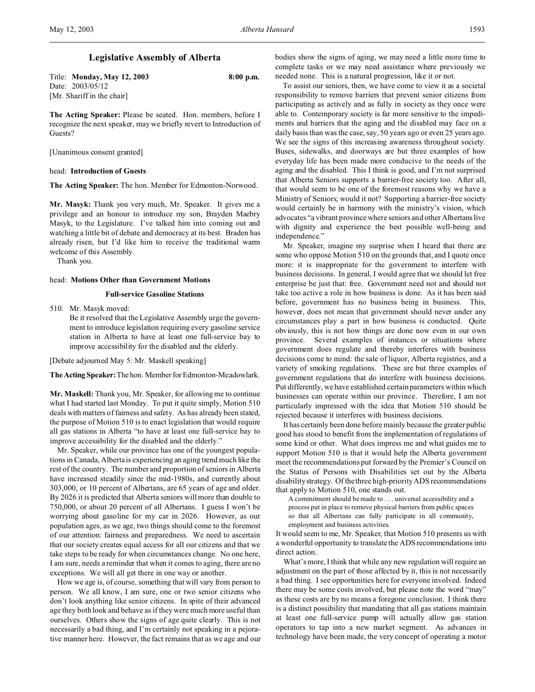# **Legislative Assembly of Alberta**

Title: **Monday, May 12, 2003 8:00 p.m.** Date: 2003/05/12 [Mr. Shariff in the chair]

**The Acting Speaker:** Please be seated. Hon. members, before I recognize the next speaker, may we briefly revert to Introduction of Guests?

[Unanimous consent granted]

## head: **Introduction of Guests**

**The Acting Speaker:** The hon. Member for Edmonton-Norwood.

**Mr. Masyk:** Thank you very much, Mr. Speaker. It gives me a privilege and an honour to introduce my son, Brayden Maebry Masyk, to the Legislature. I've talked him into coming out and watching a little bit of debate and democracy at its best. Braden has already risen, but I'd like him to receive the traditional warm welcome of this Assembly.

Thank you.

## head: **Motions Other than Government Motions**

# **Full-service Gasoline Stations**

510. Mr. Masyk moved:

Be it resolved that the Legislative Assembly urge the government to introduce legislation requiring every gasoline service station in Alberta to have at least one full-service bay to improve accessibility for the disabled and the elderly.

[Debate adjourned May 5: Mr. Maskell speaking]

**TheActing Speaker:**The hon. Member for Edmonton-Meadowlark.

**Mr. Maskell:** Thank you, Mr. Speaker, for allowing me to continue what I had started last Monday. To put it quite simply, Motion 510 deals with matters of fairness and safety. As has already been stated, the purpose of Motion 510 is to enact legislation that would require all gas stations in Alberta "to have at least one full-service bay to improve accessibility for the disabled and the elderly."

Mr. Speaker, while our province has one of the youngest populations in Canada, Alberta is experiencing an aging trend much like the rest of the country. The number and proportion of seniors in Alberta have increased steadily since the mid-1980s, and currently about 303,000, or 10 percent of Albertans, are 65 years of age and older. By 2026 it is predicted that Alberta seniors will more than double to 750,000, or about 20 percent of all Albertans. I guess I won't be worrying about gasoline for my car in 2026. However, as our population ages, as we age, two things should come to the foremost of our attention: fairness and preparedness. We need to ascertain that our society creates equal access for all our citizens and that we take steps to be ready for when circumstances change. No one here, I am sure, needs a reminder that when it comes to aging, there are no exceptions. We will all get there in one way or another.

How we age is, of course, something that will vary from person to person. We all know, I am sure, one or two senior citizens who don't look anything like senior citizens. In spite of their advanced age they both look and behave as if they were much more useful than ourselves. Others show the signs of age quite clearly. This is not necessarily a bad thing, and I'm certainly not speaking in a pejorative manner here. However, the fact remains that as we age and our bodies show the signs of aging, we may need a little more time to complete tasks or we may need assistance where previously we needed none. This is a natural progression, like it or not.

To assist our seniors, then, we have come to view it as a societal responsibility to remove barriers that prevent senior citizens from participating as actively and as fully in society as they once were able to. Contemporary society is far more sensitive to the impediments and barriers that the aging and the disabled may face on a daily basis than was the case, say, 50 years ago or even 25 years ago. We see the signs of this increasing awareness throughout society. Buses, sidewalks, and doorways are but three examples of how everyday life has been made more conducive to the needs of the aging and the disabled. This I think is good, and I'm not surprised that Alberta Seniors supports a barrier-free society too. After all, that would seem to be one of the foremost reasons why we have a Ministry of Seniors; would it not? Supporting a barrier-free society would certainly be in harmony with the ministry's vision, which advocates "a vibrant province where seniors and other Albertans live with dignity and experience the best possible well-being and independence."

Mr. Speaker, imagine my surprise when I heard that there are some who oppose Motion 510 on the grounds that, and I quote once more: it is inappropriate for the government to interfere with business decisions. In general, I would agree that we should let free enterprise be just that: free. Government need not and should not take too active a role in how business is done. As it has been said before, government has no business being in business. This, however, does not mean that government should never under any circumstances play a part in how business is conducted. Quite obviously, this is not how things are done now even in our own province. Several examples of instances or situations where government does regulate and thereby interferes with business decisions come to mind: the sale of liquor, Alberta registries, and a variety of smoking regulations. These are but three examples of government regulations that do interfere with business decisions. Put differently, we have established certain parameters within which businesses can operate within our province. Therefore, I am not particularly impressed with the idea that Motion 510 should be rejected because it interferes with business decisions.

It has certainly been done before mainly because the greater public good has stood to benefit from the implementation of regulations of some kind or other. What does impress me and what guides me to support Motion 510 is that it would help the Alberta government meet the recommendations put forward by the Premier's Council on the Status of Persons with Disabilities set out by the Alberta disability strategy. Of the three high-priority ADS recommendations that apply to Motion 510, one stands out.

A commitment should be made to . . . universal accessibility and a process put in place to remove physical barriers from public spaces so that all Albertans can fully participate in all community, employment and business activities.

It would seem to me, Mr. Speaker, that Motion 510 presents us with a wonderful opportunity to translate the ADS recommendations into direct action.

What's more, I think that while any new regulation will require an adjustment on the part of those affected by it, this is not necessarily a bad thing. I see opportunities here for everyone involved. Indeed there may be some costs involved, but please note the word "may" as these costs are by no means a foregone conclusion. I think there is a distinct possibility that mandating that all gas stations maintain at least one full-service pump will actually allow gas station operators to tap into a new market segment. As advances in technology have been made, the very concept of operating a motor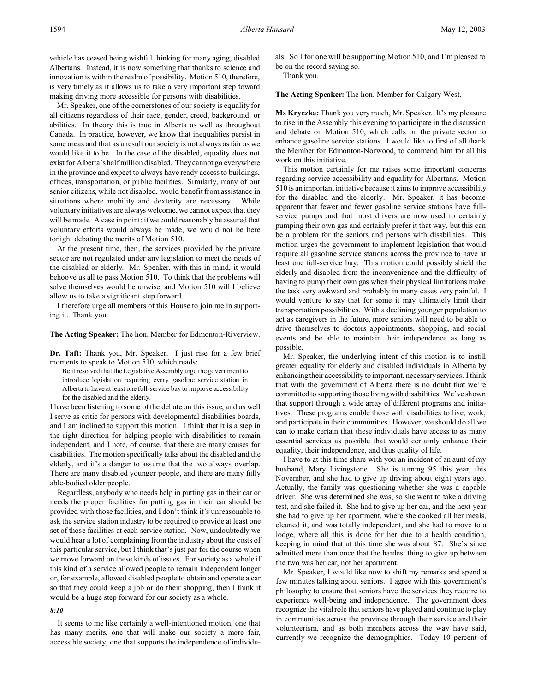Mr. Speaker, one of the cornerstones of our society is equality for all citizens regardless of their race, gender, creed, background, or abilities. In theory this is true in Alberta as well as throughout Canada. In practice, however, we know that inequalities persist in some areas and that as a result our society is not always as fair as we would like it to be. In the case of the disabled, equality does not exist for Alberta's half million disabled. They cannot go everywhere in the province and expect to always have ready access to buildings, offices, transportation, or public facilities. Similarly, many of our senior citizens, while not disabled, would benefit from assistance in situations where mobility and dexterity are necessary. While voluntary initiatives are always welcome, we cannot expect that they will be made. A case in point: if we could reasonably be assured that voluntary efforts would always be made, we would not be here tonight debating the merits of Motion 510.

At the present time, then, the services provided by the private sector are not regulated under any legislation to meet the needs of the disabled or elderly. Mr. Speaker, with this in mind, it would behoove us all to pass Motion 510. To think that the problems will solve themselves would be unwise, and Motion 510 will I believe allow us to take a significant step forward.

I therefore urge all members of this House to join me in supporting it. Thank you.

**The Acting Speaker:** The hon. Member for Edmonton-Riverview.

**Dr. Taft:** Thank you, Mr. Speaker. I just rise for a few brief moments to speak to Motion 510, which reads:

Be it resolved that the Legislative Assembly urge the government to introduce legislation requiring every gasoline service station in Alberta to have at least one full-service bay to improve accessibility for the disabled and the elderly.

I have been listening to some of the debate on this issue, and as well I serve as critic for persons with developmental disabilities boards, and I am inclined to support this motion. I think that it is a step in the right direction for helping people with disabilities to remain independent, and I note, of course, that there are many causes for disabilities. The motion specifically talks about the disabled and the elderly, and it's a danger to assume that the two always overlap. There are many disabled younger people, and there are many fully able-bodied older people.

Regardless, anybody who needs help in putting gas in their car or needs the proper facilities for putting gas in their car should be provided with those facilities, and I don't think it's unreasonable to ask the service station industry to be required to provide at least one set of those facilities at each service station. Now, undoubtedly we would hear a lot of complaining from the industry about the costs of this particular service, but I think that's just par for the course when we move forward on these kinds of issues. For society as a whole if this kind of a service allowed people to remain independent longer or, for example, allowed disabled people to obtain and operate a car so that they could keep a job or do their shopping, then I think it would be a huge step forward for our society as a whole.

### *8:10*

It seems to me like certainly a well-intentioned motion, one that has many merits, one that will make our society a more fair, accessible society, one that supports the independence of individuals. So I for one will be supporting Motion 510, and I'm pleased to be on the record saying so.

Thank you.

**The Acting Speaker:** The hon. Member for Calgary-West.

**Ms Kryczka:** Thank you very much, Mr. Speaker. It's my pleasure to rise in the Assembly this evening to participate in the discussion and debate on Motion 510, which calls on the private sector to enhance gasoline service stations. I would like to first of all thank the Member for Edmonton-Norwood, to commend him for all his work on this initiative.

This motion certainly for me raises some important concerns regarding service accessibility and equality for Albertans. Motion 510 is an important initiative because it aims to improve accessibility for the disabled and the elderly. Mr. Speaker, it has become apparent that fewer and fewer gasoline service stations have fullservice pumps and that most drivers are now used to certainly pumping their own gas and certainly prefer it that way, but this can be a problem for the seniors and persons with disabilities. This motion urges the government to implement legislation that would require all gasoline service stations across the province to have at least one full-service bay. This motion could possibly shield the elderly and disabled from the inconvenience and the difficulty of having to pump their own gas when their physical limitations make the task very awkward and probably in many cases very painful. I would venture to say that for some it may ultimately limit their transportation possibilities. With a declining younger population to act as caregivers in the future, more seniors will need to be able to drive themselves to doctors appointments, shopping, and social events and be able to maintain their independence as long as possible.

Mr. Speaker, the underlying intent of this motion is to instill greater equality for elderly and disabled individuals in Alberta by enhancing their accessibility to important, necessaryservices. I think that with the government of Alberta there is no doubt that we're committed to supporting those living with disabilities. We've shown that support through a wide array of different programs and initiatives. These programs enable those with disabilities to live, work, and participate in their communities. However, we should do all we can to make certain that these individuals have access to as many essential services as possible that would certainly enhance their equality, their independence, and thus quality of life.

I have to at this time share with you an incident of an aunt of my husband, Mary Livingstone. She is turning 95 this year, this November, and she had to give up driving about eight years ago. Actually, the family was questioning whether she was a capable driver. She was determined she was, so she went to take a driving test, and she failed it. She had to give up her car, and the next year she had to give up her apartment, where she cooked all her meals, cleaned it, and was totally independent, and she had to move to a lodge, where all this is done for her due to a health condition, keeping in mind that at this time she was about 87. She's since admitted more than once that the hardest thing to give up between the two was her car, not her apartment.

Mr. Speaker, I would like now to shift my remarks and spend a few minutes talking about seniors. I agree with this government's philosophy to ensure that seniors have the services they require to experience well-being and independence. The government does recognize the vital role that seniors have played and continue to play in communities across the province through their service and their volunteerism, and as both members across the way have said, currently we recognize the demographics. Today 10 percent of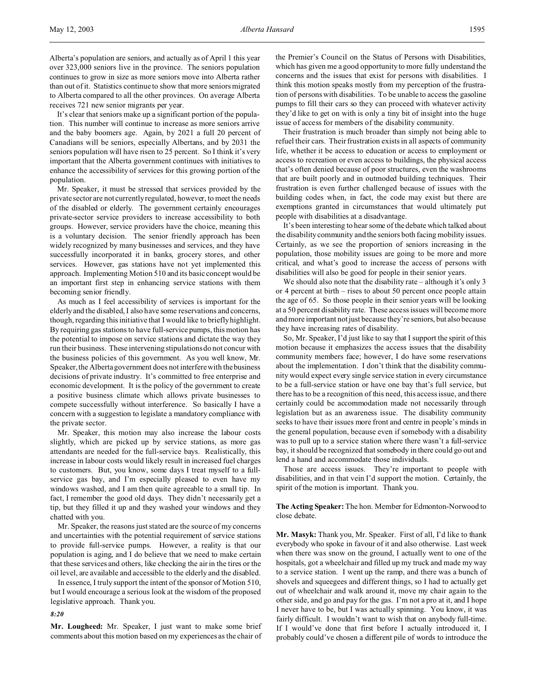Alberta's population are seniors, and actually as of April 1 this year over 323,000 seniors live in the province. The seniors population continues to grow in size as more seniors move into Alberta rather than out of it. Statistics continue to show that more seniors migrated to Alberta compared to all the other provinces. On average Alberta receives 721 new senior migrants per year.

It's clear that seniors make up a significant portion of the population. This number will continue to increase as more seniors arrive and the baby boomers age. Again, by 2021 a full 20 percent of Canadians will be seniors, especially Albertans, and by 2031 the seniors population will have risen to 25 percent. So I think it's very important that the Alberta government continues with initiatives to enhance the accessibility of services for this growing portion of the population.

Mr. Speaker, it must be stressed that services provided by the private sector are not currently regulated, however, to meet the needs of the disabled or elderly. The government certainly encourages private-sector service providers to increase accessibility to both groups. However, service providers have the choice, meaning this is a voluntary decision. The senior friendly approach has been widely recognized by many businesses and services, and they have successfully incorporated it in banks, grocery stores, and other services. However, gas stations have not yet implemented this approach. Implementing Motion 510 and its basic concept would be an important first step in enhancing service stations with them becoming senior friendly.

As much as I feel accessibility of services is important for the elderly and the disabled, I also have some reservations and concerns, though, regarding this initiative that I would like to briefly highlight. By requiring gas stations to have full-service pumps, this motion has the potential to impose on service stations and dictate the way they run their business. These intervening stipulations do not concur with the business policies of this government. As you well know, Mr. Speaker, the Alberta government does not interfere with the business decisions of private industry. It's committed to free enterprise and economic development. It is the policy of the government to create a positive business climate which allows private businesses to compete successfully without interference. So basically I have a concern with a suggestion to legislate a mandatory compliance with the private sector.

Mr. Speaker, this motion may also increase the labour costs slightly, which are picked up by service stations, as more gas attendants are needed for the full-service bays. Realistically, this increase in labour costs would likely result in increased fuel charges to customers. But, you know, some days I treat myself to a fullservice gas bay, and I'm especially pleased to even have my windows washed, and I am then quite agreeable to a small tip. In fact, I remember the good old days. They didn't necessarily get a tip, but they filled it up and they washed your windows and they chatted with you.

Mr. Speaker, the reasons just stated are the source of my concerns and uncertainties with the potential requirement of service stations to provide full-service pumps. However, a reality is that our population is aging, and I do believe that we need to make certain that these services and others, like checking the air in the tires or the oil level, are available and accessible to the elderly and the disabled.

In essence, I truly support the intent of the sponsor of Motion 510, but I would encourage a serious look at the wisdom of the proposed legislative approach. Thank you.

*8:20*

**Mr. Lougheed:** Mr. Speaker, I just want to make some brief comments about this motion based on my experiences as the chair of the Premier's Council on the Status of Persons with Disabilities, which has given me a good opportunity to more fully understand the concerns and the issues that exist for persons with disabilities. I think this motion speaks mostly from my perception of the frustration of persons with disabilities. To be unable to access the gasoline pumps to fill their cars so they can proceed with whatever activity they'd like to get on with is only a tiny bit of insight into the huge issue of access for members of the disability community.

Their frustration is much broader than simply not being able to refuel their cars. Their frustration exists in all aspects of community life, whether it be access to education or access to employment or access to recreation or even access to buildings, the physical access that's often denied because of poor structures, even the washrooms that are built poorly and in outmoded building techniques. Their frustration is even further challenged because of issues with the building codes when, in fact, the code may exist but there are exemptions granted in circumstances that would ultimately put people with disabilities at a disadvantage.

It's been interesting to hear some of the debate which talked about the disability community and the seniors both facing mobility issues. Certainly, as we see the proportion of seniors increasing in the population, those mobility issues are going to be more and more critical, and what's good to increase the access of persons with disabilities will also be good for people in their senior years.

We should also note that the disability rate – although it's only 3 or 4 percent at birth – rises to about 50 percent once people attain the age of 65. So those people in their senior years will be looking at a 50 percent disability rate. These access issues will become more and more important not just because they're seniors, but also because they have increasing rates of disability.

So, Mr. Speaker, I'd just like to say that I support the spirit of this motion because it emphasizes the access issues that the disability community members face; however, I do have some reservations about the implementation. I don't think that the disability community would expect every single service station in every circumstance to be a full-service station or have one bay that's full service, but there has to be a recognition of this need, this access issue, and there certainly could be accommodation made not necessarily through legislation but as an awareness issue. The disability community seeks to have their issues more front and centre in people's minds in the general population, because even if somebody with a disability was to pull up to a service station where there wasn't a full-service bay, it should be recognized that somebody in there could go out and lend a hand and accommodate those individuals.

Those are access issues. They're important to people with disabilities, and in that vein I'd support the motion. Certainly, the spirit of the motion is important. Thank you.

**The Acting Speaker:** The hon. Member for Edmonton-Norwood to close debate.

**Mr. Masyk:** Thank you, Mr. Speaker. First of all, I'd like to thank everybody who spoke in favour of it and also otherwise. Last week when there was snow on the ground, I actually went to one of the hospitals, got a wheelchair and filled up my truck and made my way to a service station. I went up the ramp, and there was a bunch of shovels and squeegees and different things, so I had to actually get out of wheelchair and walk around it, move my chair again to the other side, and go and pay for the gas. I'm not a pro at it, and I hope I never have to be, but I was actually spinning. You know, it was fairly difficult. I wouldn't want to wish that on anybody full-time. If I would've done that first before I actually introduced it, I probably could've chosen a different pile of words to introduce the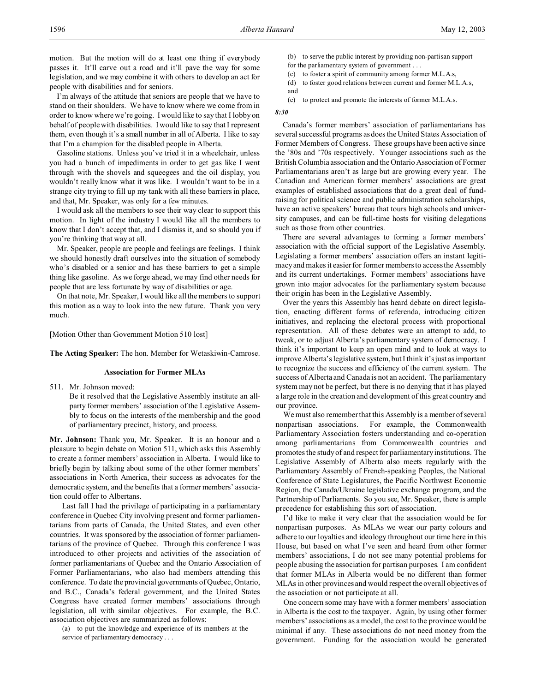motion. But the motion will do at least one thing if everybody passes it. It'll carve out a road and it'll pave the way for some legislation, and we may combine it with others to develop an act for people with disabilities and for seniors.

I'm always of the attitude that seniors are people that we have to stand on their shoulders. We have to know where we come from in order to know where we're going. I would like to say that I lobby on behalf of people with disabilities. I would like to say that I represent them, even though it's a small number in all of Alberta. I like to say that I'm a champion for the disabled people in Alberta.

Gasoline stations. Unless you've tried it in a wheelchair, unless you had a bunch of impediments in order to get gas like I went through with the shovels and squeegees and the oil display, you wouldn't really know what it was like. I wouldn't want to be in a strange city trying to fill up my tank with all these barriers in place, and that, Mr. Speaker, was only for a few minutes.

I would ask all the members to see their way clear to support this motion. In light of the industry I would like all the members to know that I don't accept that, and I dismiss it, and so should you if you're thinking that way at all.

Mr. Speaker, people are people and feelings are feelings. I think we should honestly draft ourselves into the situation of somebody who's disabled or a senior and has these barriers to get a simple thing like gasoline. As we forge ahead, we may find other needs for people that are less fortunate by way of disabilities or age.

On that note, Mr. Speaker, I would like all the members to support this motion as a way to look into the new future. Thank you very much.

[Motion Other than Government Motion 510 lost]

**The Acting Speaker:** The hon. Member for Wetaskiwin-Camrose.

# **Association for Former MLAs**

511. Mr. Johnson moved:

Be it resolved that the Legislative Assembly institute an allparty former members' association of the Legislative Assembly to focus on the interests of the membership and the good of parliamentary precinct, history, and process.

**Mr. Johnson:** Thank you, Mr. Speaker. It is an honour and a pleasure to begin debate on Motion 511, which asks this Assembly to create a former members' association in Alberta. I would like to briefly begin by talking about some of the other former members' associations in North America, their success as advocates for the democratic system, and the benefits that a former members' association could offer to Albertans.

Last fall I had the privilege of participating in a parliamentary conference in Quebec City involving present and former parliamentarians from parts of Canada, the United States, and even other countries. It was sponsored by the association of former parliamentarians of the province of Quebec. Through this conference I was introduced to other projects and activities of the association of former parliamentarians of Quebec and the Ontario Association of Former Parliamentarians, who also had members attending this conference. To date the provincial governments of Quebec, Ontario, and B.C., Canada's federal government, and the United States Congress have created former members' associations through legislation, all with similar objectives. For example, the B.C. association objectives are summarized as follows:

(a) to put the knowledge and experience of its members at the service of parliamentary democracy . . .

(b) to serve the public interest by providing non-partisan support for the parliamentary system of government . . .

(c) to foster a spirit of community among former M.L.A.s,

(d) to foster good relations between current and former M.L.A.s, and

(e) to protect and promote the interests of former M.L.A.s.

#### *8:30*

Canada's former members' association of parliamentarians has several successful programs as does the United States Association of Former Members of Congress. These groups have been active since the '80s and '70s respectively. Younger associations such as the British Columbia association and the Ontario Association of Former Parliamentarians aren't as large but are growing every year. The Canadian and American former members' associations are great examples of established associations that do a great deal of fundraising for political science and public administration scholarships, have an active speakers' bureau that tours high schools and university campuses, and can be full-time hosts for visiting delegations such as those from other countries.

There are several advantages to forming a former members' association with the official support of the Legislative Assembly. Legislating a former members' association offers an instant legitimacy and makes it easier for former members to access the Assembly and its current undertakings. Former members' associations have grown into major advocates for the parliamentary system because their origin has been in the Legislative Assembly.

Over the years this Assembly has heard debate on direct legislation, enacting different forms of referenda, introducing citizen initiatives, and replacing the electoral process with proportional representation. All of these debates were an attempt to add, to tweak, or to adjust Alberta's parliamentary system of democracy. I think it's important to keep an open mind and to look at ways to improve Alberta's legislative system, but I think it's just as important to recognize the success and efficiency of the current system. The success of Alberta and Canada is not an accident. The parliamentary system may not be perfect, but there is no denying that it has played a large role in the creation and development of this great country and our province.

We must also remember that this Assembly is a member of several nonpartisan associations. For example, the Commonwealth Parliamentary Association fosters understanding and co-operation among parliamentarians from Commonwealth countries and promotes the study of and respect for parliamentary institutions. The Legislative Assembly of Alberta also meets regularly with the Parliamentary Assembly of French-speaking Peoples, the National Conference of State Legislatures, the Pacific Northwest Economic Region, the Canada/Ukraine legislative exchange program, and the Partnership of Parliaments. So you see, Mr. Speaker, there is ample precedence for establishing this sort of association.

I'd like to make it very clear that the association would be for nonpartisan purposes. As MLAs we wear our party colours and adhere to our loyalties and ideology throughout our time here in this House, but based on what I've seen and heard from other former members' associations, I do not see many potential problems for people abusing the association for partisan purposes. I am confident that former MLAs in Alberta would be no different than former MLAs in other provinces and would respect the overall objectives of the association or not participate at all.

One concern some may have with a former members' association in Alberta is the cost to the taxpayer. Again, by using other former members' associations as a model, the cost to the province would be minimal if any. These associations do not need money from the government. Funding for the association would be generated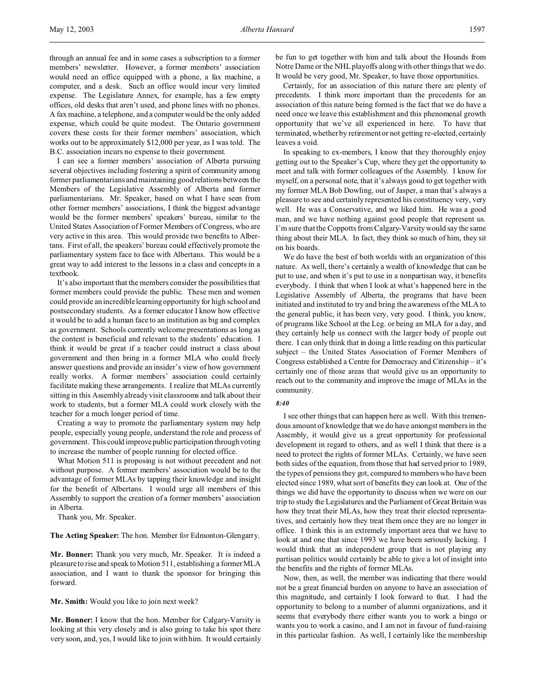through an annual fee and in some cases a subscription to a former members' newsletter. However, a former members' association would need an office equipped with a phone, a fax machine, a computer, and a desk. Such an office would incur very limited expense. The Legislature Annex, for example, has a few empty offices, old desks that aren't used, and phone lines with no phones. A fax machine, a telephone, and a computer would be the only added expense, which could be quite modest. The Ontario government covers these costs for their former members' association, which works out to be approximately \$12,000 per year, as I was told. The B.C. association incurs no expense to their government.

I can see a former members' association of Alberta pursuing several objectives including fostering a spirit of community among former parliamentarians and maintaining good relations between the Members of the Legislative Assembly of Alberta and former parliamentarians. Mr. Speaker, based on what I have seen from other former members' associations, I think the biggest advantage would be the former members' speakers' bureau, similar to the United States Association of Former Members of Congress, who are very active in this area. This would provide two benefits to Albertans. First of all, the speakers' bureau could effectively promote the parliamentary system face to face with Albertans. This would be a great way to add interest to the lessons in a class and concepts in a textbook.

It's also important that the members consider the possibilities that former members could provide the public. These men and women could provide an incredible learning opportunity for high school and postsecondary students. As a former educator I know how effective it would be to add a human face to an institution as big and complex as government. Schools currently welcome presentations as long as the content is beneficial and relevant to the students' education. I think it would be great if a teacher could instruct a class about government and then bring in a former MLA who could freely answer questions and provide an insider's view of how government really works. A former members' association could certainly facilitate making these arrangements. I realize that MLAs currently sitting in this Assembly already visit classrooms and talk about their work to students, but a former MLA could work closely with the teacher for a much longer period of time.

Creating a way to promote the parliamentary system may help people, especially young people, understand the role and process of government. This could improve public participation through voting to increase the number of people running for elected office.

What Motion 511 is proposing is not without precedent and not without purpose. A former members' association would be to the advantage of former MLAs by tapping their knowledge and insight for the benefit of Albertans. I would urge all members of this Assembly to support the creation of a former members' association in Alberta.

Thank you, Mr. Speaker.

**The Acting Speaker:** The hon. Member for Edmonton-Glengarry.

**Mr. Bonner:** Thank you very much, Mr. Speaker. It is indeed a pleasure to rise and speak to Motion 511, establishing a former MLA association, and I want to thank the sponsor for bringing this forward.

**Mr. Smith:** Would you like to join next week?

**Mr. Bonner:** I know that the hon. Member for Calgary-Varsity is looking at this very closely and is also going to take his spot there very soon, and, yes, I would like to join with him. It would certainly be fun to get together with him and talk about the Hounds from Notre Dame or the NHL playoffs along with other things that we do. It would be very good, Mr. Speaker, to have those opportunities.

Certainly, for an association of this nature there are plenty of precedents. I think more important than the precedents for an association of this nature being formed is the fact that we do have a need once we leave this establishment and this phenomenal growth opportunity that we've all experienced in here. To have that terminated, whether by retirement or not getting re-elected, certainly leaves a void.

In speaking to ex-members, I know that they thoroughly enjoy getting out to the Speaker's Cup, where they get the opportunity to meet and talk with former colleagues of the Assembly. I know for myself, on a personal note, that it's always good to get together with my former MLA Bob Dowling, out of Jasper, a man that's always a pleasure to see and certainly represented his constituency very, very well. He was a Conservative, and we liked him. He was a good man, and we have nothing against good people that represent us. I'm sure that the Coppotts from Calgary-Varsity would say the same thing about their MLA. In fact, they think so much of him, they sit on his boards.

We do have the best of both worlds with an organization of this nature. As well, there's certainly a wealth of knowledge that can be put to use, and when it's put to use in a nonpartisan way, it benefits everybody. I think that when I look at what's happened here in the Legislative Assembly of Alberta, the programs that have been initiated and instituted to try and bring the awareness of the MLA to the general public, it has been very, very good. I think, you know, of programs like School at the Leg. or being an MLA for a day, and they certainly help us connect with the larger body of people out there. I can only think that in doing a little reading on this particular subject – the United States Association of Former Members of Congress established a Centre for Democracy and Citizenship – it's certainly one of those areas that would give us an opportunity to reach out to the community and improve the image of MLAs in the community.

### *8:40*

I see other things that can happen here as well. With this tremendous amount of knowledge that we do have amongst members in the Assembly, it would give us a great opportunity for professional development in regard to others, and as well I think that there is a need to protect the rights of former MLAs. Certainly, we have seen both sides of the equation, from those that had served prior to 1989, the types of pensions they got, compared to members who have been elected since 1989, what sort of benefits they can look at. One of the things we did have the opportunity to discuss when we were on our trip to study the Legislatures and the Parliament of Great Britain was how they treat their MLAs, how they treat their elected representatives, and certainly how they treat them once they are no longer in office. I think this is an extremely important area that we have to look at and one that since 1993 we have been seriously lacking. I would think that an independent group that is not playing any partisan politics would certainly be able to give a lot of insight into the benefits and the rights of former MLAs.

Now, then, as well, the member was indicating that there would not be a great financial burden on anyone to have an association of this magnitude, and certainly I look forward to that. I had the opportunity to belong to a number of alumni organizations, and it seems that everybody there either wants you to work a bingo or wants you to work a casino, and I am not in favour of fund-raising in this particular fashion. As well, I certainly like the membership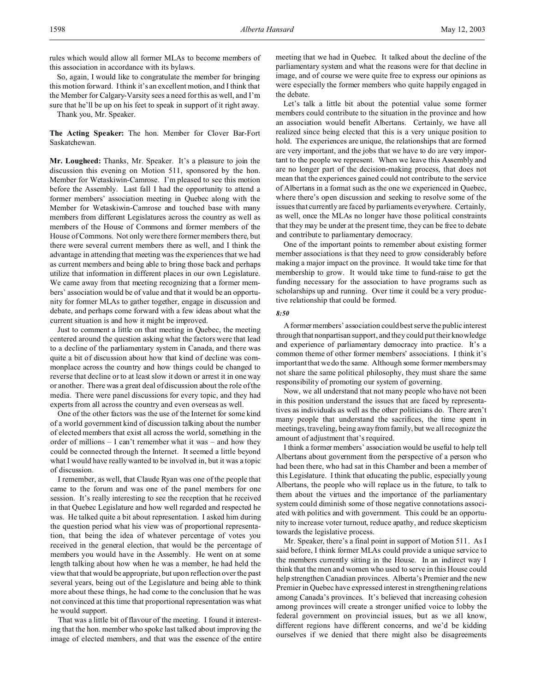So, again, I would like to congratulate the member for bringing this motion forward. I think it's an excellent motion, and I think that the Member for Calgary-Varsity sees a need for this as well, and I'm sure that he'll be up on his feet to speak in support of it right away.

Thank you, Mr. Speaker.

**The Acting Speaker:** The hon. Member for Clover Bar-Fort Saskatchewan.

**Mr. Lougheed:** Thanks, Mr. Speaker. It's a pleasure to join the discussion this evening on Motion 511, sponsored by the hon. Member for Wetaskiwin-Camrose. I'm pleased to see this motion before the Assembly. Last fall I had the opportunity to attend a former members' association meeting in Quebec along with the Member for Wetaskiwin-Camrose and touched base with many members from different Legislatures across the country as well as members of the House of Commons and former members of the House of Commons. Not only were there former members there, but there were several current members there as well, and I think the advantage in attending that meeting was the experiences that we had as current members and being able to bring those back and perhaps utilize that information in different places in our own Legislature. We came away from that meeting recognizing that a former members' association would be of value and that it would be an opportunity for former MLAs to gather together, engage in discussion and debate, and perhaps come forward with a few ideas about what the current situation is and how it might be improved.

Just to comment a little on that meeting in Quebec, the meeting centered around the question asking what the factors were that lead to a decline of the parliamentary system in Canada, and there was quite a bit of discussion about how that kind of decline was commonplace across the country and how things could be changed to reverse that decline or to at least slow it down or arrest it in one way or another. There was a great deal of discussion about the role of the media. There were panel discussions for every topic, and they had experts from all across the country and even overseas as well.

One of the other factors was the use of the Internet for some kind of a world government kind of discussion talking about the number of elected members that exist all across the world, something in the order of millions – I can't remember what it was – and how they could be connected through the Internet. It seemed a little beyond what I would have really wanted to be involved in, but it was a topic of discussion.

I remember, as well, that Claude Ryan was one of the people that came to the forum and was one of the panel members for one session. It's really interesting to see the reception that he received in that Quebec Legislature and how well regarded and respected he was. He talked quite a bit about representation. I asked him during the question period what his view was of proportional representation, that being the idea of whatever percentage of votes you received in the general election, that would be the percentage of members you would have in the Assembly. He went on at some length talking about how when he was a member, he had held the view that that would be appropriate, but upon reflection over the past several years, being out of the Legislature and being able to think more about these things, he had come to the conclusion that he was not convinced at this time that proportional representation was what he would support.

That was a little bit of flavour of the meeting. I found it interesting that the hon. member who spoke last talked about improving the image of elected members, and that was the essence of the entire

meeting that we had in Quebec. It talked about the decline of the parliamentary system and what the reasons were for that decline in image, and of course we were quite free to express our opinions as were especially the former members who quite happily engaged in the debate.

Let's talk a little bit about the potential value some former members could contribute to the situation in the province and how an association would benefit Albertans. Certainly, we have all realized since being elected that this is a very unique position to hold. The experiences are unique, the relationships that are formed are very important, and the jobs that we have to do are very important to the people we represent. When we leave this Assembly and are no longer part of the decision-making process, that does not mean that the experiences gained could not contribute to the service of Albertans in a format such as the one we experienced in Quebec, where there's open discussion and seeking to resolve some of the issues that currently are faced by parliaments everywhere. Certainly, as well, once the MLAs no longer have those political constraints that they may be under at the present time, they can be free to debate and contribute to parliamentary democracy.

One of the important points to remember about existing former member associations is that they need to grow considerably before making a major impact on the province. It would take time for that membership to grow. It would take time to fund-raise to get the funding necessary for the association to have programs such as scholarships up and running. Over time it could be a very productive relationship that could be formed.

### *8:50*

A former members' association could best serve the public interest through that nonpartisan support, and they could put their knowledge and experience of parliamentary democracy into practice. It's a common theme of other former members' associations. I think it's important that we do the same. Although some former members may not share the same political philosophy, they must share the same responsibility of promoting our system of governing.

Now, we all understand that not many people who have not been in this position understand the issues that are faced by representatives as individuals as well as the other politicians do. There aren't many people that understand the sacrifices, the time spent in meetings, traveling, being away from family, but we all recognize the amount of adjustment that's required.

I think a former members' association would be useful to help tell Albertans about government from the perspective of a person who had been there, who had sat in this Chamber and been a member of this Legislature. I think that educating the public, especially young Albertans, the people who will replace us in the future, to talk to them about the virtues and the importance of the parliamentary system could diminish some of those negative connotations associated with politics and with government. This could be an opportunity to increase voter turnout, reduce apathy, and reduce skepticism towards the legislative process.

Mr. Speaker, there's a final point in support of Motion 511. As I said before, I think former MLAs could provide a unique service to the members currently sitting in the House. In an indirect way I think that the men and women who used to serve in this House could help strengthen Canadian provinces. Alberta's Premier and the new Premier in Quebec have expressed interest in strengthening relations among Canada's provinces. It's believed that increasing cohesion among provinces will create a stronger unified voice to lobby the federal government on provincial issues, but as we all know, different regions have different concerns, and we'd be kidding ourselves if we denied that there might also be disagreements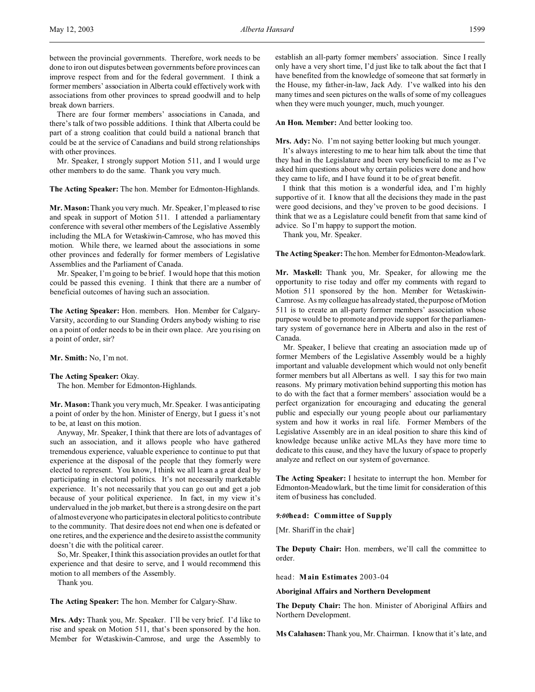There are four former members' associations in Canada, and there's talk of two possible additions. I think that Alberta could be part of a strong coalition that could build a national branch that could be at the service of Canadians and build strong relationships with other provinces.

Mr. Speaker, I strongly support Motion 511, and I would urge other members to do the same. Thank you very much.

**The Acting Speaker:** The hon. Member for Edmonton-Highlands.

**Mr. Mason:** Thank you very much. Mr. Speaker, I'm pleased to rise and speak in support of Motion 511. I attended a parliamentary conference with several other members of the Legislative Assembly including the MLA for Wetaskiwin-Camrose, who has moved this motion. While there, we learned about the associations in some other provinces and federally for former members of Legislative Assemblies and the Parliament of Canada.

Mr. Speaker, I'm going to be brief. I would hope that this motion could be passed this evening. I think that there are a number of beneficial outcomes of having such an association.

**The Acting Speaker:** Hon. members. Hon. Member for Calgary-Varsity, according to our Standing Orders anybody wishing to rise on a point of order needs to be in their own place. Are you rising on a point of order, sir?

**Mr. Smith:** No, I'm not.

### **The Acting Speaker:** Okay.

The hon. Member for Edmonton-Highlands.

**Mr. Mason:** Thank you very much, Mr. Speaker. I was anticipating a point of order by the hon. Minister of Energy, but I guess it's not to be, at least on this motion.

Anyway, Mr. Speaker, I think that there are lots of advantages of such an association, and it allows people who have gathered tremendous experience, valuable experience to continue to put that experience at the disposal of the people that they formerly were elected to represent. You know, I think we all learn a great deal by participating in electoral politics. It's not necessarily marketable experience. It's not necessarily that you can go out and get a job because of your political experience. In fact, in my view it's undervalued in the job market, but there is a strong desire on the part of almost everyone who participates in electoral politics to contribute to the community. That desire does not end when one is defeated or one retires, and the experience and the desire to assist the community doesn't die with the political career.

So, Mr. Speaker, I think this association provides an outlet for that experience and that desire to serve, and I would recommend this motion to all members of the Assembly.

Thank you.

**The Acting Speaker:** The hon. Member for Calgary-Shaw.

**Mrs. Ady:** Thank you, Mr. Speaker. I'll be very brief. I'd like to rise and speak on Motion 511, that's been sponsored by the hon. Member for Wetaskiwin-Camrose, and urge the Assembly to establish an all-party former members' association. Since I really only have a very short time, I'd just like to talk about the fact that I have benefited from the knowledge of someone that sat formerly in the House, my father-in-law, Jack Ady. I've walked into his den many times and seen pictures on the walls of some of my colleagues when they were much younger, much, much younger.

**An Hon. Member:** And better looking too.

**Mrs. Ady:** No. I'm not saying better looking but much younger.

It's always interesting to me to hear him talk about the time that they had in the Legislature and been very beneficial to me as I've asked him questions about why certain policies were done and how they came to life, and I have found it to be of great benefit.

I think that this motion is a wonderful idea, and I'm highly supportive of it. I know that all the decisions they made in the past were good decisions, and they've proven to be good decisions. I think that we as a Legislature could benefit from that same kind of advice. So I'm happy to support the motion.

Thank you, Mr. Speaker.

**The Acting Speaker:** The hon. Member forEdmonton-Meadowlark.

**Mr. Maskell:** Thank you, Mr. Speaker, for allowing me the opportunity to rise today and offer my comments with regard to Motion 511 sponsored by the hon. Member for Wetaskiwin-Camrose. As my colleague has already stated, the purpose of Motion 511 is to create an all-party former members' association whose purpose would be to promote and provide support for the parliamentary system of governance here in Alberta and also in the rest of Canada.

Mr. Speaker, I believe that creating an association made up of former Members of the Legislative Assembly would be a highly important and valuable development which would not only benefit former members but all Albertans as well. I say this for two main reasons. My primary motivation behind supporting this motion has to do with the fact that a former members' association would be a perfect organization for encouraging and educating the general public and especially our young people about our parliamentary system and how it works in real life. Former Members of the Legislative Assembly are in an ideal position to share this kind of knowledge because unlike active MLAs they have more time to dedicate to this cause, and they have the luxury of space to properly analyze and reflect on our system of governance.

**The Acting Speaker:** I hesitate to interrupt the hon. Member for Edmonton-Meadowlark, but the time limit for consideration of this item of business has concluded.

### *9:00***head: Committee of Supply**

[Mr. Shariff in the chair]

**The Deputy Chair:** Hon. members, we'll call the committee to order.

head: **Main Estimates** 2003-04

## **Aboriginal Affairs and Northern Development**

**The Deputy Chair:** The hon. Minister of Aboriginal Affairs and Northern Development.

**Ms Calahasen:** Thank you, Mr. Chairman. I know that it's late, and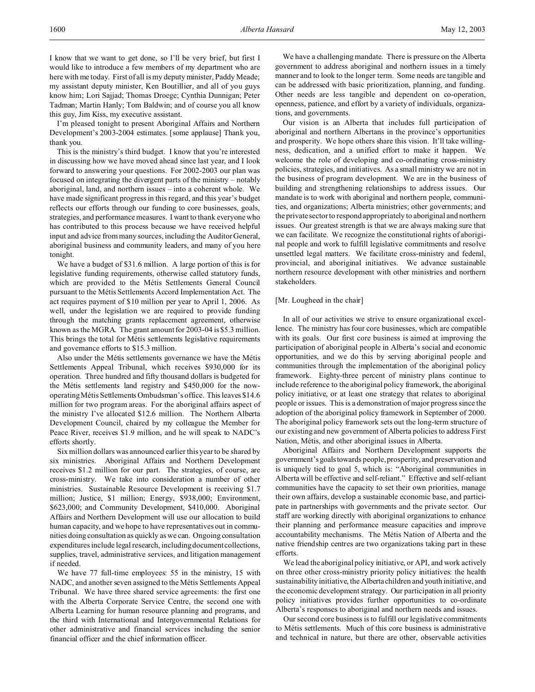I know that we want to get done, so I'll be very brief, but first I would like to introduce a few members of my department who are here with me today. First of all is my deputy minister, Paddy Meade; my assistant deputy minister, Ken Boutillier, and all of you guys know him; Lori Sajjad; Thomas Droege; Cynthia Dunnigan; Peter Tadman; Martin Hanly; Tom Baldwin; and of course you all know this guy, Jim Kiss, my executive assistant.

I'm pleased tonight to present Aboriginal Affairs and Northern Development's 2003-2004 estimates. [some applause] Thank you, thank you.

This is the ministry's third budget. I know that you're interested in discussing how we have moved ahead since last year, and I look forward to answering your questions. For 2002-2003 our plan was focused on integrating the divergent parts of the ministry – notably aboriginal, land, and northern issues – into a coherent whole. We have made significant progress in this regard, and this year's budget reflects our efforts through our funding to core businesses, goals, strategies, and performance measures. I want to thank everyone who has contributed to this process because we have received helpful input and advice from many sources, including the Auditor General, aboriginal business and community leaders, and many of you here tonight.

We have a budget of \$31.6 million. A large portion of this is for legislative funding requirements, otherwise called statutory funds, which are provided to the Métis Settlements General Council pursuant to the Métis Settlements Accord Implementation Act. The act requires payment of \$10 million per year to April 1, 2006. As well, under the legislation we are required to provide funding through the matching grants replacement agreement, otherwise known as the MGRA. The grant amount for 2003-04 is \$5.3 million. This brings the total for Métis settlements legislative requirements and governance efforts to \$15.3 million.

Also under the Métis settlements governance we have the Métis Settlements Appeal Tribunal, which receives \$930,000 for its operation. Three hundred and fifty thousand dollars is budgeted for the Métis settlements land registry and \$450,000 for the nowoperating Métis Settlements Ombudsman's office. This leaves \$14.6 million for two program areas. For the aboriginal affairs aspect of the ministry I've allocated \$12.6 million. The Northern Alberta Development Council, chaired by my colleague the Member for Peace River, receives \$1.9 million, and he will speak to NADC's efforts shortly.

Six million dollars was announced earlier this year to be shared by six ministries. Aboriginal Affairs and Northern Development receives \$1.2 million for our part. The strategies, of course, are cross-ministry. We take into consideration a number of other ministries. Sustainable Resource Development is receiving \$1.7 million; Justice, \$1 million; Energy, \$938,000; Environment, \$623,000; and Community Development, \$410,000. Aboriginal Affairs and Northern Development will use our allocation to build human capacity, and we hope to have representatives out in communities doing consultation as quickly as we can. Ongoing consultation expenditures include legal research, including document collections, supplies, travel, administrative services, and litigation management if needed.

We have 77 full-time employees: 55 in the ministry, 15 with NADC, and another seven assigned to the Métis Settlements Appeal Tribunal. We have three shared service agreements: the first one with the Alberta Corporate Service Centre, the second one with Alberta Learning for human resource planning and programs, and the third with International and Intergovernmental Relations for other administrative and financial services including the senior financial officer and the chief information officer.

We have a challenging mandate. There is pressure on the Alberta government to address aboriginal and northern issues in a timely manner and to look to the longer term. Some needs are tangible and can be addressed with basic prioritization, planning, and funding. Other needs are less tangible and dependent on co-operation, openness, patience, and effort by a variety of individuals, organizations, and governments.

Our vision is an Alberta that includes full participation of aboriginal and northern Albertans in the province's opportunities and prosperity. We hope others share this vision. It'll take willingness, dedication, and a unified effort to make it happen. We welcome the role of developing and co-ordinating cross-ministry policies, strategies, and initiatives. As a small ministry we are not in the business of program development. We are in the business of building and strengthening relationships to address issues. Our mandate is to work with aboriginal and northern people, communities, and organizations; Alberta ministries; other governments; and the private sector to respond appropriately to aboriginal and northern issues. Our greatest strength is that we are always making sure that we can facilitate. We recognize the constitutional rights of aboriginal people and work to fulfill legislative commitments and resolve unsettled legal matters. We facilitate cross-ministry and federal, provincial, and aboriginal initiatives. We advance sustainable northern resource development with other ministries and northern stakeholders.

# [Mr. Lougheed in the chair]

In all of our activities we strive to ensure organizational excellence. The ministry has four core businesses, which are compatible with its goals. Our first core business is aimed at improving the participation of aboriginal people in Alberta's social and economic opportunities, and we do this by serving aboriginal people and communities through the implementation of the aboriginal policy framework. Eighty-three percent of ministry plans continue to include reference to the aboriginal policy framework, the aboriginal policy initiative, or at least one strategy that relates to aboriginal people or issues. This is a demonstration of major progress since the adoption of the aboriginal policy framework in September of 2000. The aboriginal policy framework sets out the long-term structure of our existing and new government of Alberta policies to address First Nation, Métis, and other aboriginal issues in Alberta.

Aboriginal Affairs and Northern Development supports the government'sgoalstowards people, prosperity, and preservation and is uniquely tied to goal 5, which is: "Aboriginal communities in Alberta will be effective and self-reliant." Effective and self-reliant communities have the capacity to set their own priorities, manage their own affairs, develop a sustainable economic base, and participate in partnerships with governments and the private sector. Our staff are working directly with aboriginal organizations to enhance their planning and performance measure capacities and improve accountability mechanisms. The Métis Nation of Alberta and the native friendship centres are two organizations taking part in these efforts.

We lead the aboriginal policy initiative, or API, and work actively on three other cross-ministry priority policy initiatives: the health sustainability initiative, the Alberta children and youth initiative, and the economic development strategy. Our participation in all priority policy initiatives provides further opportunities to co-ordinate Alberta's responses to aboriginal and northern needs and issues.

Our second core business is to fulfill our legislative commitments to Métis settlements. Much of this core business is administrative and technical in nature, but there are other, observable activities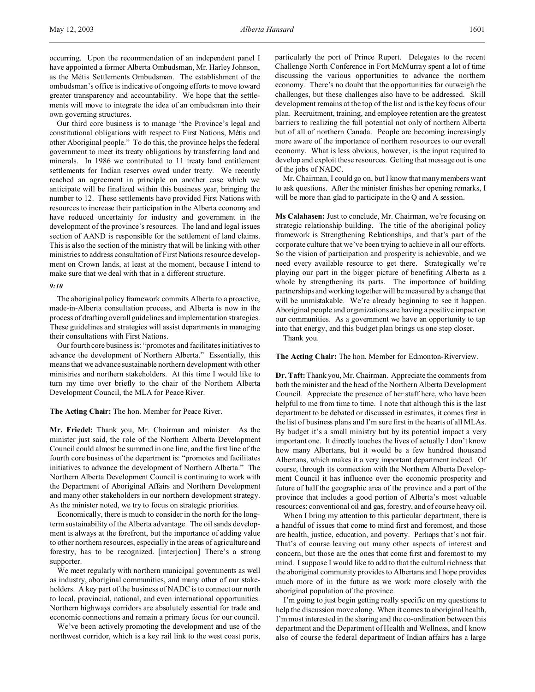Our third core business is to manage "the Province's legal and constitutional obligations with respect to First Nations, Métis and other Aboriginal people." To do this, the province helps the federal government to meet its treaty obligations by transferring land and minerals. In 1986 we contributed to 11 treaty land entitlement settlements for Indian reserves owed under treaty. We recently reached an agreement in principle on another case which we anticipate will be finalized within this business year, bringing the number to 12. These settlements have provided First Nations with resources to increase their participation in the Alberta economy and have reduced uncertainty for industry and government in the development of the province's resources. The land and legal issues section of AAND is responsible for the settlement of land claims. This is also the section of the ministry that will be linking with other ministries to address consultation of First Nations resource development on Crown lands, at least at the moment, because I intend to make sure that we deal with that in a different structure.

### *9:10*

The aboriginal policy framework commits Alberta to a proactive, made-in-Alberta consultation process, and Alberta is now in the process of drafting overall guidelines and implementation strategies. These guidelines and strategies will assist departments in managing their consultations with First Nations.

Our fourth core business is: "promotes and facilitates initiatives to advance the development of Northern Alberta." Essentially, this means that we advance sustainable northern development with other ministries and northern stakeholders. At this time I would like to turn my time over briefly to the chair of the Northern Alberta Development Council, the MLA for Peace River.

## **The Acting Chair:** The hon. Member for Peace River.

**Mr. Friedel:** Thank you, Mr. Chairman and minister. As the minister just said, the role of the Northern Alberta Development Council could almost be summed in one line, and the first line of the fourth core business of the department is: "promotes and facilitates initiatives to advance the development of Northern Alberta." The Northern Alberta Development Council is continuing to work with the Department of Aboriginal Affairs and Northern Development and many other stakeholders in our northern development strategy. As the minister noted, we try to focus on strategic priorities.

Economically, there is much to consider in the north for the longterm sustainability of the Alberta advantage. The oil sands development is always at the forefront, but the importance of adding value to other northern resources, especially in the areas of agriculture and forestry, has to be recognized. [interjection] There's a strong supporter.

We meet regularly with northern municipal governments as well as industry, aboriginal communities, and many other of our stakeholders. A key part of the business of NADC is to connect our north to local, provincial, national, and even international opportunities. Northern highways corridors are absolutely essential for trade and economic connections and remain a primary focus for our council.

We've been actively promoting the development and use of the northwest corridor, which is a key rail link to the west coast ports,

particularly the port of Prince Rupert. Delegates to the recent Challenge North Conference in Fort McMurray spent a lot of time discussing the various opportunities to advance the northern economy. There's no doubt that the opportunities far outweigh the challenges, but these challenges also have to be addressed. Skill development remains at the top of the list and is the key focus of our plan. Recruitment, training, and employee retention are the greatest barriers to realizing the full potential not only of northern Alberta but of all of northern Canada. People are becoming increasingly more aware of the importance of northern resources to our overall economy. What is less obvious, however, is the input required to develop and exploit these resources. Getting that message out is one of the jobs of NADC.

Mr. Chairman, I could go on, but I know that many members want to ask questions. After the minister finishes her opening remarks, I will be more than glad to participate in the Q and A session.

**Ms Calahasen:** Just to conclude, Mr. Chairman, we're focusing on strategic relationship building. The title of the aboriginal policy framework is Strengthening Relationships, and that's part of the corporate culture that we've been trying to achieve in all our efforts. So the vision of participation and prosperity is achievable, and we need every available resource to get there. Strategically we're playing our part in the bigger picture of benefiting Alberta as a whole by strengthening its parts. The importance of building partnerships and working together will be measured by a change that will be unmistakable. We're already beginning to see it happen. Aboriginal people and organizations are having a positive impact on our communities. As a government we have an opportunity to tap into that energy, and this budget plan brings us one step closer.

Thank you.

### **The Acting Chair:** The hon. Member for Edmonton-Riverview.

**Dr. Taft:** Thank you, Mr. Chairman. Appreciate the comments from both the minister and the head of the Northern Alberta Development Council. Appreciate the presence of her staff here, who have been helpful to me from time to time. I note that although this is the last department to be debated or discussed in estimates, it comes first in the list of business plans and I'm sure first in the hearts of all MLAs. By budget it's a small ministry but by its potential impact a very important one. It directly touches the lives of actually I don't know how many Albertans, but it would be a few hundred thousand Albertans, which makes it a very important department indeed. Of course, through its connection with the Northern Alberta Development Council it has influence over the economic prosperity and future of half the geographic area of the province and a part of the province that includes a good portion of Alberta's most valuable resources: conventional oil and gas, forestry, and of course heavy oil.

When I bring my attention to this particular department, there is a handful of issues that come to mind first and foremost, and those are health, justice, education, and poverty. Perhaps that's not fair. That's of course leaving out many other aspects of interest and concern, but those are the ones that come first and foremost to my mind. I suppose I would like to add to that the cultural richness that the aboriginal community provides to Albertans and I hope provides much more of in the future as we work more closely with the aboriginal population of the province.

I'm going to just begin getting really specific on my questions to help the discussion move along. When it comes to aboriginal health, I'm most interested in the sharing and the co-ordination between this department and the Department of Health and Wellness, and I know also of course the federal department of Indian affairs has a large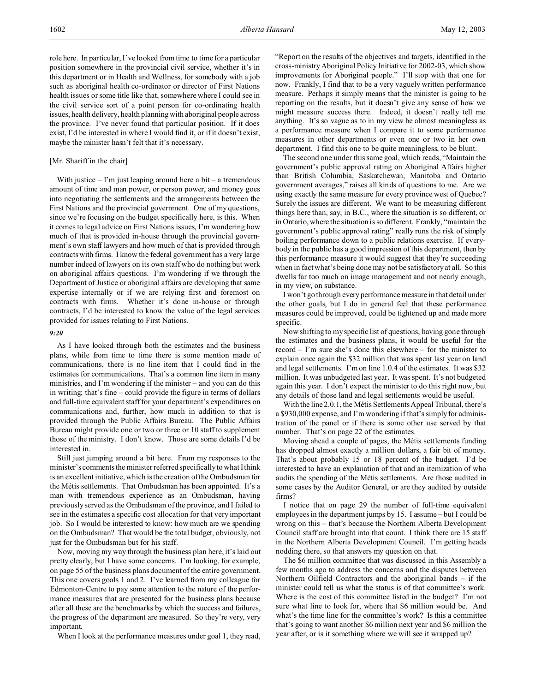role here. In particular, I've looked from time to time for a particular position somewhere in the provincial civil service, whether it's in this department or in Health and Wellness, for somebody with a job such as aboriginal health co-ordinator or director of First Nations health issues or some title like that, somewhere where I could see in the civil service sort of a point person for co-ordinating health issues, health delivery, health planning with aboriginal people across the province. I've never found that particular position. If it does exist, I'd be interested in where I would find it, or if it doesn't exist, maybe the minister hasn't felt that it's necessary.

# [Mr. Shariff in the chair]

With justice  $-$  I'm just leaping around here a bit  $-$  a tremendous amount of time and man power, or person power, and money goes into negotiating the settlements and the arrangements between the First Nations and the provincial government. One of my questions, since we're focusing on the budget specifically here, is this. When it comes to legal advice on First Nations issues, I'm wondering how much of that is provided in-house through the provincial government's own staff lawyers and how much of that is provided through contracts with firms. I know the federal government has a very large number indeed of lawyers on its own staff who do nothing but work on aboriginal affairs questions. I'm wondering if we through the Department of Justice or aboriginal affairs are developing that same expertise internally or if we are relying first and foremost on contracts with firms. Whether it's done in-house or through contracts, I'd be interested to know the value of the legal services provided for issues relating to First Nations.

## *9:20*

As I have looked through both the estimates and the business plans, while from time to time there is some mention made of communications, there is no line item that I could find in the estimates for communications. That's a common line item in many ministries, and I'm wondering if the minister – and you can do this in writing; that's fine – could provide the figure in terms of dollars and full-time equivalent staff for your department's expenditures on communications and, further, how much in addition to that is provided through the Public Affairs Bureau. The Public Affairs Bureau might provide one or two or three or 10 staff to supplement those of the ministry. I don't know. Those are some details I'd be interested in.

Still just jumping around a bit here. From my responses to the minister's comments the minister referred specifically to what I think is an excellent initiative, which is the creation of the Ombudsman for the Métis settlements. That Ombudsman has been appointed. It's a man with tremendous experience as an Ombudsman, having previously served as the Ombudsman of the province, and I failed to see in the estimates a specific cost allocation for that very important job. So I would be interested to know: how much are we spending on the Ombudsman? That would be the total budget, obviously, not just for the Ombudsman but for his staff.

Now, moving my way through the business plan here, it's laid out pretty clearly, but I have some concerns. I'm looking, for example, on page 55 of the business plans document of the entire government. This one covers goals 1 and 2. I've learned from my colleague for Edmonton-Centre to pay some attention to the nature of the performance measures that are presented for the business plans because after all these are the benchmarks by which the success and failures, the progress of the department are measured. So they're very, very important.

When I look at the performance measures under goal 1, they read,

"Report on the results of the objectives and targets, identified in the cross-ministry Aboriginal Policy Initiative for 2002-03, which show improvements for Aboriginal people." I'll stop with that one for now. Frankly, I find that to be a very vaguely written performance measure. Perhaps it simply means that the minister is going to be reporting on the results, but it doesn't give any sense of how we might measure success there. Indeed, it doesn't really tell me anything. It's so vague as to in my view be almost meaningless as a performance measure when I compare it to some performance measures in other departments or even one or two in her own department. I find this one to be quite meaningless, to be blunt.

The second one under this same goal, which reads, "Maintain the government's public approval rating on Aboriginal Affairs higher than British Columbia, Saskatchewan, Manitoba and Ontario government averages," raises all kinds of questions to me. Are we using exactly the same measure for every province west of Quebec? Surely the issues are different. We want to be measuring different things here than, say, in B.C., where the situation is so different, or in Ontario, where the situation is so different. Frankly, "maintain the government's public approval rating" really runs the risk of simply boiling performance down to a public relations exercise. If everybody in the public has a good impression of this department, then by this performance measure it would suggest that they're succeeding when in fact what's being done may not be satisfactory at all. So this dwells far too much on image management and not nearly enough, in my view, on substance.

I won't go through every performance measure in that detail under the other goals, but I do in general feel that these performance measures could be improved, could be tightened up and made more specific.

Now shifting to my specific list of questions, having gone through the estimates and the business plans, it would be useful for the record – I'm sure she's done this elsewhere – for the minister to explain once again the \$32 million that was spent last year on land and legal settlements. I'm on line 1.0.4 of the estimates. It was \$32 million. It was unbudgeted last year. It was spent. It's not budgeted again this year. I don't expect the minister to do this right now, but any details of those land and legal settlements would be useful.

With the line 2.0.1, the Métis Settlements Appeal Tribunal, there's a \$930,000 expense, and I'm wondering if that's simply for administration of the panel or if there is some other use served by that number. That's on page 22 of the estimates.

Moving ahead a couple of pages, the Métis settlements funding has dropped almost exactly a million dollars, a fair bit of money. That's about probably 15 or 18 percent of the budget. I'd be interested to have an explanation of that and an itemization of who audits the spending of the Métis settlements. Are those audited in some cases by the Auditor General, or are they audited by outside firms?

I notice that on page 29 the number of full-time equivalent employees in the department jumps by 15. I assume – but I could be wrong on this – that's because the Northern Alberta Development Council staff are brought into that count. I think there are 15 staff in the Northern Alberta Development Council. I'm getting heads nodding there, so that answers my question on that.

The \$6 million committee that was discussed in this Assembly a few months ago to address the concerns and the disputes between Northern Oilfield Contractors and the aboriginal bands – if the minister could tell us what the status is of that committee's work. Where is the cost of this committee listed in the budget? I'm not sure what line to look for, where that \$6 million would be. And what's the time line for the committee's work? Is this a committee that's going to want another \$6 million next year and \$6 million the year after, or is it something where we will see it wrapped up?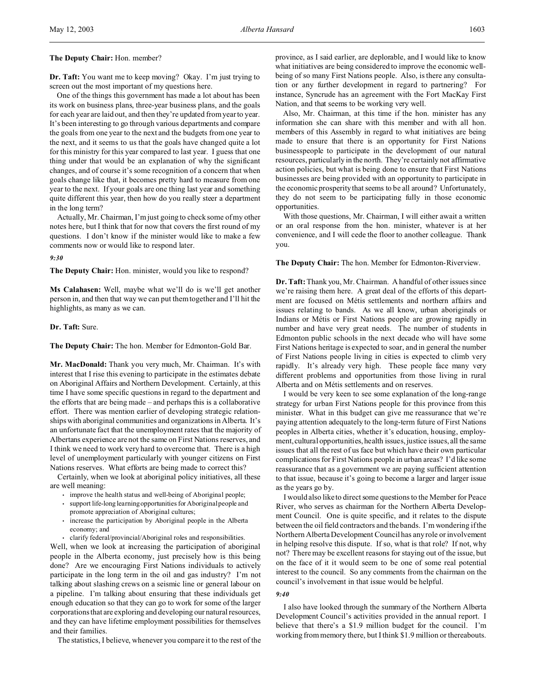## **The Deputy Chair:** Hon. member?

**Dr. Taft:** You want me to keep moving? Okay. I'm just trying to screen out the most important of my questions here.

One of the things this government has made a lot about has been its work on business plans, three-year business plans, and the goals for each year are laid out, and then they're updated from year to year. It's been interesting to go through various departments and compare the goals from one year to the next and the budgets from one year to the next, and it seems to us that the goals have changed quite a lot for this ministry for this year compared to last year. I guess that one thing under that would be an explanation of why the significant changes, and of course it's some recognition of a concern that when goals change like that, it becomes pretty hard to measure from one year to the next. If your goals are one thing last year and something quite different this year, then how do you really steer a department in the long term?

Actually, Mr. Chairman, I'm just going to check some of my other notes here, but I think that for now that covers the first round of my questions. I don't know if the minister would like to make a few comments now or would like to respond later.

#### *9:30*

**The Deputy Chair:** Hon. minister, would you like to respond?

**Ms Calahasen:** Well, maybe what we'll do is we'll get another person in, and then that way we can put them together and I'll hit the highlights, as many as we can.

## **Dr. Taft:** Sure.

**The Deputy Chair:** The hon. Member for Edmonton-Gold Bar.

**Mr. MacDonald:** Thank you very much, Mr. Chairman. It's with interest that I rise this evening to participate in the estimates debate on Aboriginal Affairs and Northern Development. Certainly, at this time I have some specific questions in regard to the department and the efforts that are being made – and perhaps this is a collaborative effort. There was mention earlier of developing strategic relationships with aboriginal communities and organizations in Alberta. It's an unfortunate fact that the unemployment rates that the majority of Albertans experience are not the same on First Nations reserves, and I think we need to work very hard to overcome that. There is a high level of unemployment particularly with younger citizens on First Nations reserves. What efforts are being made to correct this?

Certainly, when we look at aboriginal policy initiatives, all these are well meaning:

- improve the health status and well-being of Aboriginal people;
- support life-long learningopportunities for Aboriginal people and promote appreciation of Aboriginal cultures;
- increase the participation by Aboriginal people in the Alberta economy; and
- clarify federal/provincial/Aboriginal roles and responsibilities.

Well, when we look at increasing the participation of aboriginal people in the Alberta economy, just precisely how is this being done? Are we encouraging First Nations individuals to actively participate in the long term in the oil and gas industry? I'm not talking about slashing crews on a seismic line or general labour on a pipeline. I'm talking about ensuring that these individuals get enough education so that they can go to work for some of the larger corporations that are exploring and developing our natural resources, and they can have lifetime employment possibilities for themselves and their families.

The statistics, I believe, whenever you compare it to the rest of the

province, as I said earlier, are deplorable, and I would like to know what initiatives are being considered to improve the economic wellbeing of so many First Nations people. Also, is there any consultation or any further development in regard to partnering? For instance, Syncrude has an agreement with the Fort MacKay First Nation, and that seems to be working very well.

Also, Mr. Chairman, at this time if the hon. minister has any information she can share with this member and with all hon. members of this Assembly in regard to what initiatives are being made to ensure that there is an opportunity for First Nations businesspeople to participate in the development of our natural resources, particularly in the north. They're certainly not affirmative action policies, but what is being done to ensure that First Nations businesses are being provided with an opportunity to participate in the economic prosperity that seems to be all around? Unfortunately, they do not seem to be participating fully in those economic opportunities.

With those questions, Mr. Chairman, I will either await a written or an oral response from the hon. minister, whatever is at her convenience, and I will cede the floor to another colleague. Thank you.

**The Deputy Chair:** The hon. Member for Edmonton-Riverview.

**Dr. Taft:** Thank you, Mr. Chairman. A handful of other issues since we're raising them here. A great deal of the efforts of this department are focused on Métis settlements and northern affairs and issues relating to bands. As we all know, urban aboriginals or Indians or Métis or First Nations people are growing rapidly in number and have very great needs. The number of students in Edmonton public schools in the next decade who will have some First Nations heritage is expected to soar, and in general the number of First Nations people living in cities is expected to climb very rapidly. It's already very high. These people face many very different problems and opportunities from those living in rural Alberta and on Métis settlements and on reserves.

I would be very keen to see some explanation of the long-range strategy for urban First Nations people for this province from this minister. What in this budget can give me reassurance that we're paying attention adequately to the long-term future of First Nations peoples in Alberta cities, whether it's education, housing, employment, cultural opportunities, health issues, justice issues, all the same issues that all the rest of us face but which have their own particular complications for First Nations people in urban areas? I'd like some reassurance that as a government we are paying sufficient attention to that issue, because it's going to become a larger and larger issue as the years go by.

I would also like to direct some questions to the Member for Peace River, who serves as chairman for the Northern Alberta Development Council. One is quite specific, and it relates to the dispute between the oil field contractors and the bands. I'm wondering if the Northern Alberta Development Council has any role or involvement in helping resolve this dispute. If so, what is that role? If not, why not? There may be excellent reasons for staying out of the issue, but on the face of it it would seem to be one of some real potential interest to the council. So any comments from the chairman on the council's involvement in that issue would be helpful.

## *9:40*

I also have looked through the summary of the Northern Alberta Development Council's activities provided in the annual report. I believe that there's a \$1.9 million budget for the council. I'm working from memory there, but I think \$1.9 million or thereabouts.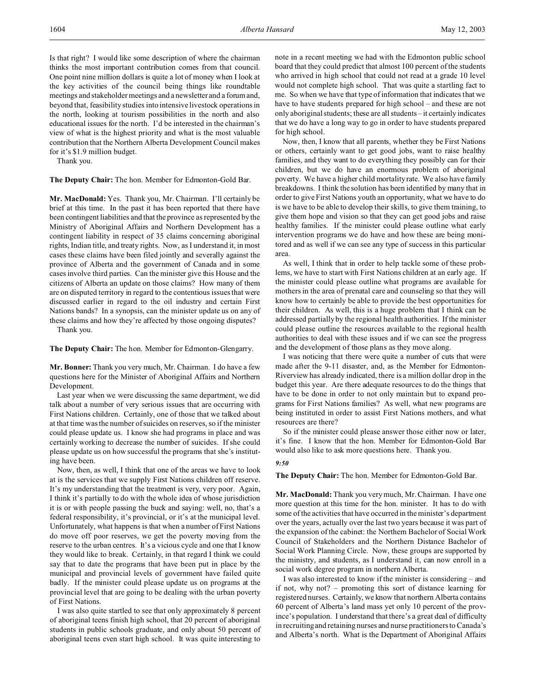Is that right? I would like some description of where the chairman thinks the most important contribution comes from that council. One point nine million dollars is quite a lot of money when I look at the key activities of the council being things like roundtable meetings and stakeholder meetings and a newsletter and a forum and, beyond that, feasibility studies into intensive livestock operations in the north, looking at tourism possibilities in the north and also educational issues for the north. I'd be interested in the chairman's view of what is the highest priority and what is the most valuable contribution that the Northern Alberta Development Council makes for it's \$1.9 million budget.

Thank you.

**The Deputy Chair:** The hon. Member for Edmonton-Gold Bar.

**Mr. MacDonald:** Yes. Thank you, Mr. Chairman. I'll certainly be brief at this time. In the past it has been reported that there have been contingent liabilities and that the province as represented by the Ministry of Aboriginal Affairs and Northern Development has a contingent liability in respect of 35 claims concerning aboriginal rights, Indian title, and treaty rights. Now, as I understand it, in most cases these claims have been filed jointly and severally against the province of Alberta and the government of Canada and in some cases involve third parties. Can the minister give this House and the citizens of Alberta an update on those claims? How many of them are on disputed territory in regard to the contentious issues that were discussed earlier in regard to the oil industry and certain First Nations bands? In a synopsis, can the minister update us on any of these claims and how they're affected by those ongoing disputes?

Thank you.

**The Deputy Chair:** The hon. Member for Edmonton-Glengarry.

**Mr. Bonner:** Thank you very much, Mr. Chairman. I do have a few questions here for the Minister of Aboriginal Affairs and Northern Development.

Last year when we were discussing the same department, we did talk about a number of very serious issues that are occurring with First Nations children. Certainly, one of those that we talked about at that time was the number of suicides on reserves, so if the minister could please update us. I know she had programs in place and was certainly working to decrease the number of suicides. If she could please update us on how successful the programs that she's instituting have been.

Now, then, as well, I think that one of the areas we have to look at is the services that we supply First Nations children off reserve. It's my understanding that the treatment is very, very poor. Again, I think it's partially to do with the whole idea of whose jurisdiction it is or with people passing the buck and saying: well, no, that's a federal responsibility, it's provincial, or it's at the municipal level. Unfortunately, what happens is that when a number of First Nations do move off poor reserves, we get the poverty moving from the reserve to the urban centres. It's a vicious cycle and one that I know they would like to break. Certainly, in that regard I think we could say that to date the programs that have been put in place by the municipal and provincial levels of government have failed quite badly. If the minister could please update us on programs at the provincial level that are going to be dealing with the urban poverty of First Nations.

I was also quite startled to see that only approximately 8 percent of aboriginal teens finish high school, that 20 percent of aboriginal students in public schools graduate, and only about 50 percent of aboriginal teens even start high school. It was quite interesting to

note in a recent meeting we had with the Edmonton public school board that they could predict that almost 100 percent of the students who arrived in high school that could not read at a grade 10 level would not complete high school. That was quite a startling fact to me. So when we have that type of information that indicates that we have to have students prepared for high school – and these are not only aboriginal students; these are all students – it certainly indicates that we do have a long way to go in order to have students prepared for high school.

Now, then, I know that all parents, whether they be First Nations or others, certainly want to get good jobs, want to raise healthy families, and they want to do everything they possibly can for their children, but we do have an enormous problem of aboriginal poverty. We have a higher child mortality rate. We also have family breakdowns. I think the solution has been identified by many that in order to give First Nations youth an opportunity, what we have to do is we have to be able to develop their skills, to give them training, to give them hope and vision so that they can get good jobs and raise healthy families. If the minister could please outline what early intervention programs we do have and how these are being monitored and as well if we can see any type of success in this particular area.

As well, I think that in order to help tackle some of these problems, we have to start with First Nations children at an early age. If the minister could please outline what programs are available for mothers in the area of prenatal care and counseling so that they will know how to certainly be able to provide the best opportunities for their children. As well, this is a huge problem that I think can be addressed partially by the regional health authorities. If the minister could please outline the resources available to the regional health authorities to deal with these issues and if we can see the progress and the development of those plans as they move along.

I was noticing that there were quite a number of cuts that were made after the 9-11 disaster, and, as the Member for Edmonton-Riverview has already indicated, there is a million dollar drop in the budget this year. Are there adequate resources to do the things that have to be done in order to not only maintain but to expand programs for First Nations families? As well, what new programs are being instituted in order to assist First Nations mothers, and what resources are there?

So if the minister could please answer those either now or later, it's fine. I know that the hon. Member for Edmonton-Gold Bar would also like to ask more questions here. Thank you.

### *9:50*

**The Deputy Chair:** The hon. Member for Edmonton-Gold Bar.

**Mr. MacDonald:** Thank you very much, Mr. Chairman. I have one more question at this time for the hon. minister. It has to do with some of the activities that have occurred in the minister's department over the years, actually over the last two years because it was part of the expansion of the cabinet: the Northern Bachelor of Social Work Council of Stakeholders and the Northern Distance Bachelor of Social Work Planning Circle. Now, these groups are supported by the ministry, and students, as I understand it, can now enroll in a social work degree program in northern Alberta.

I was also interested to know if the minister is considering – and if not, why not? – promoting this sort of distance learning for registered nurses. Certainly, we know that northern Alberta contains 60 percent of Alberta's land mass yet only 10 percent of the province's population. I understand that there's a great deal of difficulty in recruiting and retaining nurses and nurse practitioners to Canada's and Alberta's north. What is the Department of Aboriginal Affairs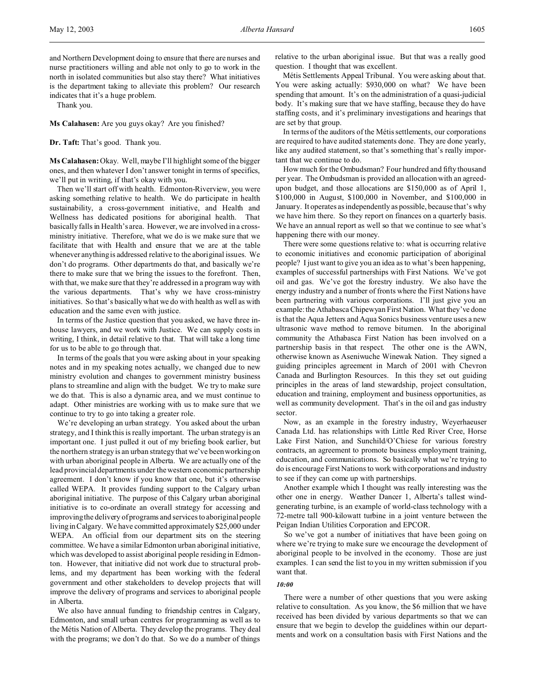and Northern Development doing to ensure that there are nurses and nurse practitioners willing and able not only to go to work in the north in isolated communities but also stay there? What initiatives is the department taking to alleviate this problem? Our research indicates that it's a huge problem.

Thank you.

**Ms Calahasen:** Are you guys okay? Are you finished?

**Dr. Taft:** That's good. Thank you.

**Ms Calahasen:** Okay. Well, maybe I'll highlight some of the bigger ones, and then whatever I don't answer tonight in terms of specifics, we'll put in writing, if that's okay with you.

Then we'll start off with health. Edmonton-Riverview, you were asking something relative to health. We do participate in health sustainability, a cross-government initiative, and Health and Wellness has dedicated positions for aboriginal health. That basically falls in Health's area. However, we are involved in a crossministry initiative. Therefore, what we do is we make sure that we facilitate that with Health and ensure that we are at the table whenever anything is addressed relative to the aboriginal issues. We don't do programs. Other departments do that, and basically we're there to make sure that we bring the issues to the forefront. Then, with that, we make sure that they're addressed in a program way with the various departments. That's why we have cross-ministry initiatives. So that's basically what we do with health as well as with education and the same even with justice.

In terms of the Justice question that you asked, we have three inhouse lawyers, and we work with Justice. We can supply costs in writing, I think, in detail relative to that. That will take a long time for us to be able to go through that.

In terms of the goals that you were asking about in your speaking notes and in my speaking notes actually, we changed due to new ministry evolution and changes to government ministry business plans to streamline and align with the budget. We try to make sure we do that. This is also a dynamic area, and we must continue to adapt. Other ministries are working with us to make sure that we continue to try to go into taking a greater role.

We're developing an urban strategy. You asked about the urban strategy, and I think this is really important. The urban strategy is an important one. I just pulled it out of my briefing book earlier, but the northern strategy is an urban strategy that we've been working on with urban aboriginal people in Alberta. We are actually one of the lead provincial departments under the western economic partnership agreement. I don't know if you know that one, but it's otherwise called WEPA. It provides funding support to the Calgary urban aboriginal initiative. The purpose of this Calgary urban aboriginal initiative is to co-ordinate an overall strategy for accessing and improving the delivery of programs and services to aboriginal people living in Calgary. We have committed approximately \$25,000 under WEPA. An official from our department sits on the steering committee. We have a similar Edmonton urban aboriginal initiative, which was developed to assist aboriginal people residing in Edmonton. However, that initiative did not work due to structural problems, and my department has been working with the federal government and other stakeholders to develop projects that will improve the delivery of programs and services to aboriginal people in Alberta.

We also have annual funding to friendship centres in Calgary, Edmonton, and small urban centres for programming as well as to the Métis Nation of Alberta. They develop the programs. They deal with the programs; we don't do that. So we do a number of things

relative to the urban aboriginal issue. But that was a really good question. I thought that was excellent.

Métis Settlements Appeal Tribunal. You were asking about that. You were asking actually: \$930,000 on what? We have been spending that amount. It's on the administration of a quasi-judicial body. It's making sure that we have staffing, because they do have staffing costs, and it's preliminary investigations and hearings that are set by that group.

In terms of the auditors of the Métis settlements, our corporations are required to have audited statements done. They are done yearly, like any audited statement, so that's something that's really important that we continue to do.

How much for the Ombudsman? Four hundred and fifty thousand per year. The Ombudsman is provided an allocation with an agreedupon budget, and those allocations are \$150,000 as of April 1, \$100,000 in August, \$100,000 in November, and \$100,000 in January. It operates as independently as possible, because that's why we have him there. So they report on finances on a quarterly basis. We have an annual report as well so that we continue to see what's happening there with our money.

There were some questions relative to: what is occurring relative to economic initiatives and economic participation of aboriginal people? I just want to give you an idea as to what's been happening, examples of successful partnerships with First Nations. We've got oil and gas. We've got the forestry industry. We also have the energy industry and a number of fronts where the First Nations have been partnering with various corporations. I'll just give you an example: the Athabasca Chipewyan First Nation. What they've done is that the Aqua Jetters and Aqua Sonics business venture uses a new ultrasonic wave method to remove bitumen. In the aboriginal community the Athabasca First Nation has been involved on a partnership basis in that respect. The other one is the AWN, otherwise known as Aseniwuche Winewak Nation. They signed a guiding principles agreement in March of 2001 with Chevron Canada and Burlington Resources. In this they set out guiding principles in the areas of land stewardship, project consultation, education and training, employment and business opportunities, as well as community development. That's in the oil and gas industry sector.

Now, as an example in the forestry industry, Weyerhaeuser Canada Ltd. has relationships with Little Red River Cree, Horse Lake First Nation, and Sunchild/O'Chiese for various forestry contracts, an agreement to promote business employment training, education, and communications. So basically what we're trying to do is encourage First Nations to work with corporations and industry to see if they can come up with partnerships.

Another example which I thought was really interesting was the other one in energy. Weather Dancer 1, Alberta's tallest windgenerating turbine, is an example of world-class technology with a 72-metre tall 900-kilowatt turbine in a joint venture between the Peigan Indian Utilities Corporation and EPCOR.

So we've got a number of initiatives that have been going on where we're trying to make sure we encourage the development of aboriginal people to be involved in the economy. Those are just examples. I can send the list to you in my written submission if you want that.

### *10:00*

There were a number of other questions that you were asking relative to consultation. As you know, the \$6 million that we have received has been divided by various departments so that we can ensure that we begin to develop the guidelines within our departments and work on a consultation basis with First Nations and the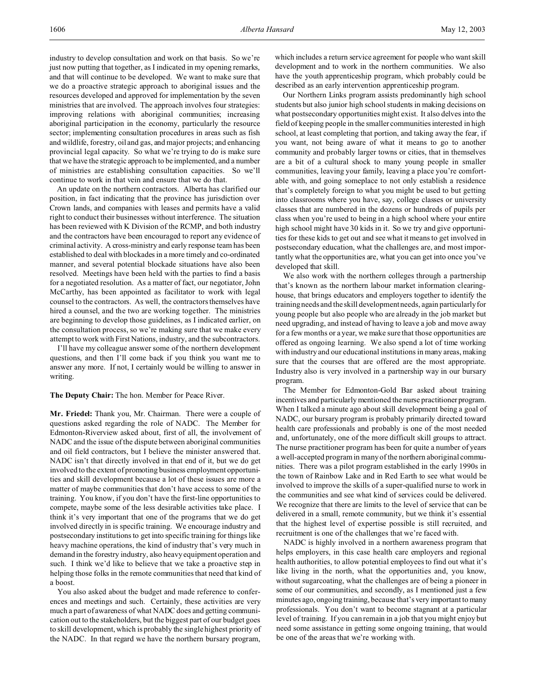industry to develop consultation and work on that basis. So we're just now putting that together, as I indicated in my opening remarks, and that will continue to be developed. We want to make sure that we do a proactive strategic approach to aboriginal issues and the resources developed and approved for implementation by the seven ministries that are involved. The approach involves four strategies: improving relations with aboriginal communities; increasing aboriginal participation in the economy, particularly the resource sector; implementing consultation procedures in areas such as fish and wildlife, forestry, oil and gas, and major projects; and enhancing provincial legal capacity. So what we're trying to do is make sure that we have the strategic approach to be implemented, and a number of ministries are establishing consultation capacities. So we'll continue to work in that vein and ensure that we do that.

An update on the northern contractors. Alberta has clarified our position, in fact indicating that the province has jurisdiction over Crown lands, and companies with leases and permits have a valid right to conduct their businesses without interference. The situation has been reviewed with K Division of the RCMP, and both industry and the contractors have been encouraged to report any evidence of criminal activity. A cross-ministry and early response team has been established to deal with blockades in a more timely and co-ordinated manner, and several potential blockade situations have also been resolved. Meetings have been held with the parties to find a basis for a negotiated resolution. As a matter of fact, our negotiator, John McCarthy, has been appointed as facilitator to work with legal counsel to the contractors. As well, the contractors themselves have hired a counsel, and the two are working together. The ministries are beginning to develop those guidelines, as I indicated earlier, on the consultation process, so we're making sure that we make every attempt to work with First Nations, industry, and the subcontractors.

I'll have my colleague answer some of the northern development questions, and then I'll come back if you think you want me to answer any more. If not, I certainly would be willing to answer in writing.

**The Deputy Chair:** The hon. Member for Peace River.

**Mr. Friedel:** Thank you, Mr. Chairman. There were a couple of questions asked regarding the role of NADC. The Member for Edmonton-Riverview asked about, first of all, the involvement of NADC and the issue of the dispute between aboriginal communities and oil field contractors, but I believe the minister answered that. NADC isn't that directly involved in that end of it, but we do get involved to the extent of promoting business employment opportunities and skill development because a lot of these issues are more a matter of maybe communities that don't have access to some of the training. You know, if you don't have the first-line opportunities to compete, maybe some of the less desirable activities take place. I think it's very important that one of the programs that we do get involved directly in is specific training. We encourage industry and postsecondary institutions to get into specific training for things like heavy machine operations, the kind of industry that's very much in demand in the forestry industry, also heavy equipment operation and such. I think we'd like to believe that we take a proactive step in helping those folks in the remote communities that need that kind of a boost.

You also asked about the budget and made reference to conferences and meetings and such. Certainly, these activities are very much a part of awareness of what NADC does and getting communication out to the stakeholders, but the biggest part of our budget goes to skill development, which is probably the single highest priority of the NADC. In that regard we have the northern bursary program,

which includes a return service agreement for people who want skill development and to work in the northern communities. We also have the youth apprenticeship program, which probably could be described as an early intervention apprenticeship program.

Our Northern Links program assists predominantly high school students but also junior high school students in making decisions on what postsecondary opportunities might exist. It also delves into the field of keeping people in the smaller communities interested in high school, at least completing that portion, and taking away the fear, if you want, not being aware of what it means to go to another community and probably larger towns or cities, that in themselves are a bit of a cultural shock to many young people in smaller communities, leaving your family, leaving a place you're comfortable with, and going someplace to not only establish a residence that's completely foreign to what you might be used to but getting into classrooms where you have, say, college classes or university classes that are numbered in the dozens or hundreds of pupils per class when you're used to being in a high school where your entire high school might have 30 kids in it. So we try and give opportunities for these kids to get out and see what it means to get involved in postsecondary education, what the challenges are, and most importantly what the opportunities are, what you can get into once you've developed that skill.

We also work with the northern colleges through a partnership that's known as the northern labour market information clearinghouse, that brings educators and employers together to identify the training needs and the skill development needs, again particularly for young people but also people who are already in the job market but need upgrading, and instead of having to leave a job and move away for a few months or a year, we make sure that those opportunities are offered as ongoing learning. We also spend a lot of time working with industry and our educational institutions in many areas, making sure that the courses that are offered are the most appropriate. Industry also is very involved in a partnership way in our bursary program.

The Member for Edmonton-Gold Bar asked about training incentives and particularly mentioned the nurse practitioner program. When I talked a minute ago about skill development being a goal of NADC, our bursary program is probably primarily directed toward health care professionals and probably is one of the most needed and, unfortunately, one of the more difficult skill groups to attract. The nurse practitioner program has been for quite a number of years a well-accepted program in many of the northern aboriginal communities. There was a pilot program established in the early 1990s in the town of Rainbow Lake and in Red Earth to see what would be involved to improve the skills of a super-qualified nurse to work in the communities and see what kind of services could be delivered. We recognize that there are limits to the level of service that can be delivered in a small, remote community, but we think it's essential that the highest level of expertise possible is still recruited, and recruitment is one of the challenges that we're faced with.

NADC is highly involved in a northern awareness program that helps employers, in this case health care employers and regional health authorities, to allow potential employees to find out what it's like living in the north, what the opportunities and, you know, without sugarcoating, what the challenges are of being a pioneer in some of our communities, and secondly, as I mentioned just a few minutes ago, ongoing training, because that's very important to many professionals. You don't want to become stagnant at a particular level of training. If you can remain in a job that you might enjoy but need some assistance in getting some ongoing training, that would be one of the areas that we're working with.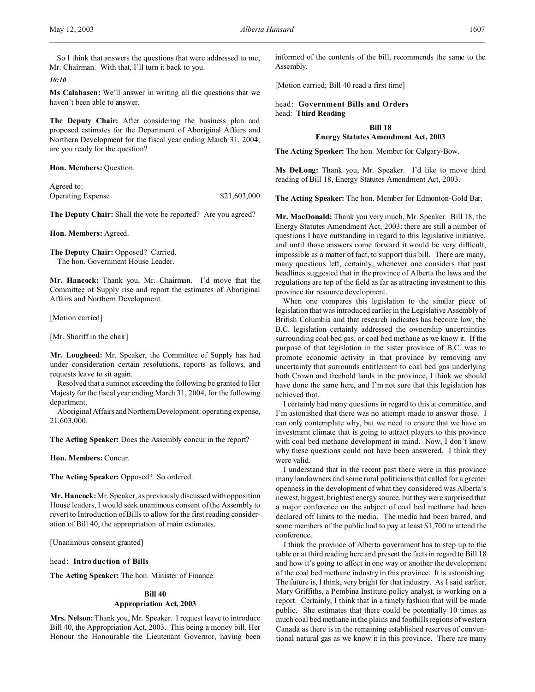So I think that answers the questions that were addressed to me, Mr. Chairman. With that, I'll turn it back to you.

*10:10*

**Ms Calahasen:** We'll answer in writing all the questions that we haven't been able to answer.

**The Deputy Chair:** After considering the business plan and proposed estimates for the Department of Aboriginal Affairs and Northern Development for the fiscal year ending March 31, 2004, are you ready for the question?

**Hon. Members:** Question.

Agreed to: Operating Expense \$21,603,000

**The Deputy Chair:** Shall the vote be reported? Are you agreed?

**Hon. Members:** Agreed.

**The Deputy Chair:** Opposed? Carried. The hon. Government House Leader.

**Mr. Hancock:** Thank you, Mr. Chairman. I'd move that the Committee of Supply rise and report the estimates of Aboriginal Affairs and Northern Development.

[Motion carried]

[Mr. Shariff in the chair]

**Mr. Lougheed:** Mr. Speaker, the Committee of Supply has had under consideration certain resolutions, reports as follows, and requests leave to sit again.

Resolved that a sum not exceeding the following be granted to Her Majesty for the fiscal year ending March 31, 2004, for the following department.

Aboriginal Affairs and Northern Development: operating expense, 21,603,000.

**The Acting Speaker:** Does the Assembly concur in the report?

**Hon. Members:** Concur.

**The Acting Speaker:** Opposed? So ordered.

**Mr. Hancock:** Mr. Speaker, as previously discussed with opposition House leaders, I would seek unanimous consent of the Assembly to revert to Introduction of Bills to allow for the first reading consideration of Bill 40, the appropriation of main estimates.

[Unanimous consent granted]

head: **Introduction of Bills**

**The Acting Speaker:** The hon. Minister of Finance.

# **Bill 40 Appropriation Act, 2003**

**Mrs. Nelson:** Thank you, Mr. Speaker. I request leave to introduce Bill 40, the Appropriation Act, 2003. This being a money bill, Her Honour the Honourable the Lieutenant Governor, having been informed of the contents of the bill, recommends the same to the Assembly.

[Motion carried; Bill 40 read a first time]

head: **Government Bills and Orders** head: **Third Reading**

**Bill 18**

# **Energy Statutes Amendment Act, 2003**

**The Acting Speaker:** The hon. Member for Calgary-Bow.

**Ms DeLong:** Thank you, Mr. Speaker. I'd like to move third reading of Bill 18, Energy Statutes Amendment Act, 2003.

**The Acting Speaker:** The hon. Member for Edmonton-Gold Bar.

**Mr. MacDonald:** Thank you very much, Mr. Speaker. Bill 18, the Energy Statutes Amendment Act, 2003: there are still a number of questions I have outstanding in regard to this legislative initiative, and until those answers come forward it would be very difficult, impossible as a matter of fact, to support this bill. There are many, many questions left, certainly, whenever one considers that past headlines suggested that in the province of Alberta the laws and the regulations are top of the field as far as attracting investment to this province for resource development.

When one compares this legislation to the similar piece of legislation that was introduced earlier in the Legislative Assembly of British Columbia and that research indicates has become law, the B.C. legislation certainly addressed the ownership uncertainties surrounding coal bed gas, or coal bed methane as we know it. If the purpose of that legislation in the sister province of B.C. was to promote economic activity in that province by removing any uncertainty that surrounds entitlement to coal bed gas underlying both Crown and freehold lands in the province, I think we should have done the same here, and I'm not sure that this legislation has achieved that.

I certainly had many questions in regard to this at committee, and I'm astonished that there was no attempt made to answer those. I can only contemplate why, but we need to ensure that we have an investment climate that is going to attract players to this province with coal bed methane development in mind. Now, I don't know why these questions could not have been answered. I think they were valid.

I understand that in the recent past there were in this province many landowners and some rural politicians that called for a greater openness in the development of what they considered was Alberta's newest, biggest, brightest energy source, but they were surprised that a major conference on the subject of coal bed methane had been declared off limits to the media. The media had been barred, and some members of the public had to pay at least \$1,700 to attend the conference.

I think the province of Alberta government has to step up to the table or at third reading here and present the facts in regard to Bill 18 and how it's going to affect in one way or another the development of the coal bed methane industry in this province. It is astonishing. The future is, I think, very bright for that industry. As I said earlier, Mary Griffiths, a Pembina Institute policy analyst, is working on a report. Certainly, I think that in a timely fashion that will be made public. She estimates that there could be potentially 10 times as much coal bed methane in the plains and foothills regions of western Canada as there is in the remaining established reserves of conventional natural gas as we know it in this province. There are many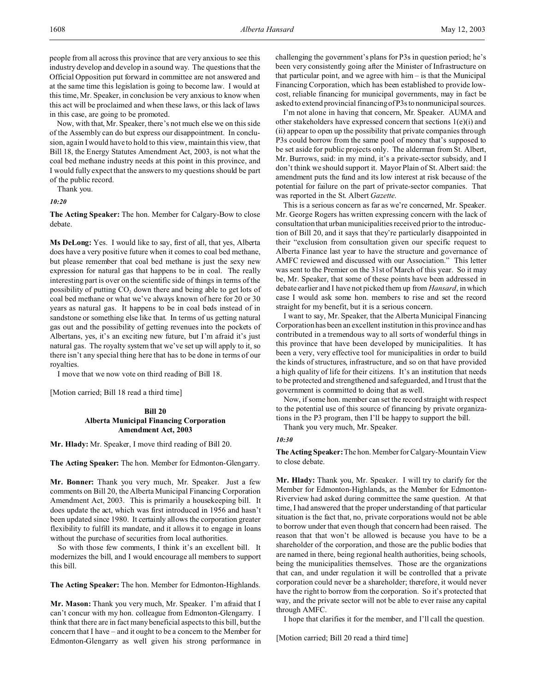people from all across this province that are very anxious to see this industry develop and develop in a sound way. The questions that the Official Opposition put forward in committee are not answered and at the same time this legislation is going to become law. I would at this time, Mr. Speaker, in conclusion be very anxious to know when this act will be proclaimed and when these laws, or this lack of laws in this case, are going to be promoted.

Now, with that, Mr. Speaker, there's not much else we on this side of the Assembly can do but express our disappointment. In conclusion, again I would have to hold to this view, maintain this view, that Bill 18, the Energy Statutes Amendment Act, 2003, is not what the coal bed methane industry needs at this point in this province, and I would fully expect that the answers to my questions should be part of the public record.

Thank you.

*10:20*

**The Acting Speaker:** The hon. Member for Calgary-Bow to close debate.

**Ms DeLong:** Yes. I would like to say, first of all, that yes, Alberta does have a very positive future when it comes to coal bed methane, but please remember that coal bed methane is just the sexy new expression for natural gas that happens to be in coal. The really interesting part is over on the scientific side of things in terms of the possibility of putting  $CO<sub>2</sub>$  down there and being able to get lots of coal bed methane or what we've always known of here for 20 or 30 years as natural gas. It happens to be in coal beds instead of in sandstone or something else like that. In terms of us getting natural gas out and the possibility of getting revenues into the pockets of Albertans, yes, it's an exciting new future, but I'm afraid it's just natural gas. The royalty system that we've set up will apply to it, so there isn't any special thing here that has to be done in terms of our royalties.

I move that we now vote on third reading of Bill 18.

[Motion carried; Bill 18 read a third time]

# **Bill 20 Alberta Municipal Financing Corporation Amendment Act, 2003**

**Mr. Hlady:** Mr. Speaker, I move third reading of Bill 20.

**The Acting Speaker:** The hon. Member for Edmonton-Glengarry.

**Mr. Bonner:** Thank you very much, Mr. Speaker. Just a few comments on Bill 20, the Alberta Municipal Financing Corporation Amendment Act, 2003. This is primarily a housekeeping bill. It does update the act, which was first introduced in 1956 and hasn't been updated since 1980. It certainly allows the corporation greater flexibility to fulfill its mandate, and it allows it to engage in loans without the purchase of securities from local authorities.

So with those few comments, I think it's an excellent bill. It modernizes the bill, and I would encourage all members to support this bill.

**The Acting Speaker:** The hon. Member for Edmonton-Highlands.

**Mr. Mason:** Thank you very much, Mr. Speaker. I'm afraid that I can't concur with my hon. colleague from Edmonton-Glengarry. I think that there are in fact many beneficial aspects to this bill, but the concern that I have – and it ought to be a concern to the Member for Edmonton-Glengarry as well given his strong performance in challenging the government's plans for P3s in question period; he's been very consistently going after the Minister of Infrastructure on that particular point, and we agree with  $him - is that the Municipal$ Financing Corporation, which has been established to provide lowcost, reliable financing for municipal governments, may in fact be asked to extend provincial financing of P3s to nonmunicipal sources.

I'm not alone in having that concern, Mr. Speaker. AUMA and other stakeholders have expressed concern that sections 1(e)(i) and (ii) appear to open up the possibility that private companies through P3s could borrow from the same pool of money that's supposed to be set aside for public projects only. The alderman from St. Albert, Mr. Burrows, said: in my mind, it's a private-sector subsidy, and I don't think we should support it. Mayor Plain of St. Albert said: the amendment puts the fund and its low interest at risk because of the potential for failure on the part of private-sector companies. That was reported in the St. Albert *Gazette*.

This is a serious concern as far as we're concerned, Mr. Speaker. Mr. George Rogers has written expressing concern with the lack of consultation that urban municipalities received prior to the introduction of Bill 20, and it says that they're particularly disappointed in their "exclusion from consultation given our specific request to Alberta Finance last year to have the structure and governance of AMFC reviewed and discussed with our Association." This letter was sent to the Premier on the 31st of March of this year. So it may be, Mr. Speaker, that some of these points have been addressed in debate earlier and I have not picked them up from *Hansard*, in which case I would ask some hon. members to rise and set the record straight for my benefit, but it is a serious concern.

I want to say, Mr. Speaker, that the Alberta Municipal Financing Corporation has been an excellent institution in this province and has contributed in a tremendous way to all sorts of wonderful things in this province that have been developed by municipalities. It has been a very, very effective tool for municipalities in order to build the kinds of structures, infrastructure, and so on that have provided a high quality of life for their citizens. It's an institution that needs to be protected and strengthened and safeguarded, and I trust that the government is committed to doing that as well.

Now, if some hon. member can set the record straight with respect to the potential use of this source of financing by private organizations in the P3 program, then I'll be happy to support the bill.

Thank you very much, Mr. Speaker.

## *10:30*

**TheActing Speaker:**The hon. Member for Calgary-Mountain View to close debate.

**Mr. Hlady:** Thank you, Mr. Speaker. I will try to clarify for the Member for Edmonton-Highlands, as the Member for Edmonton-Riverview had asked during committee the same question. At that time, I had answered that the proper understanding of that particular situation is the fact that, no, private corporations would not be able to borrow under that even though that concern had been raised. The reason that that won't be allowed is because you have to be a shareholder of the corporation, and those are the public bodies that are named in there, being regional health authorities, being schools, being the municipalities themselves. Those are the organizations that can, and under regulation it will be controlled that a private corporation could never be a shareholder; therefore, it would never have the right to borrow from the corporation. So it's protected that way, and the private sector will not be able to ever raise any capital through AMFC.

I hope that clarifies it for the member, and I'll call the question.

[Motion carried; Bill 20 read a third time]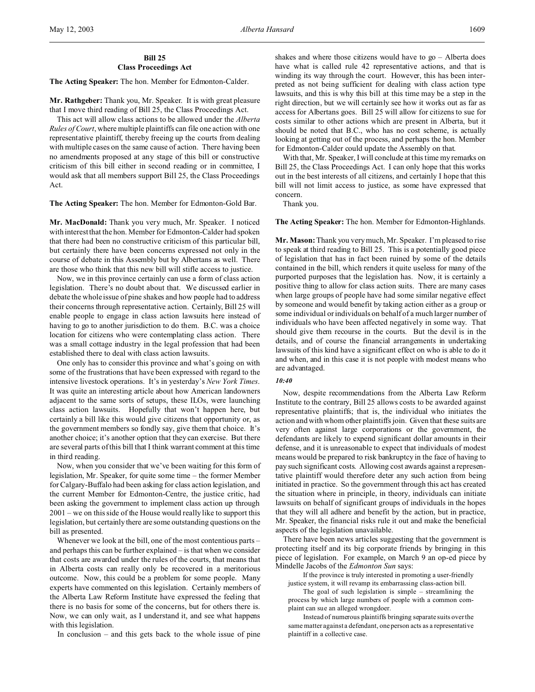# **Bill 25 Class Proceedings Act**

**The Acting Speaker:** The hon. Member for Edmonton-Calder.

**Mr. Rathgeber:** Thank you, Mr. Speaker. It is with great pleasure that I move third reading of Bill 25, the Class Proceedings Act.

This act will allow class actions to be allowed under the *Alberta Rules of Court*, where multiple plaintiffs can file one action with one representative plaintiff, thereby freeing up the courts from dealing with multiple cases on the same cause of action. There having been no amendments proposed at any stage of this bill or constructive criticism of this bill either in second reading or in committee, I would ask that all members support Bill 25, the Class Proceedings Act.

### **The Acting Speaker:** The hon. Member for Edmonton-Gold Bar.

**Mr. MacDonald:** Thank you very much, Mr. Speaker. I noticed with interest that the hon. Member for Edmonton-Calder had spoken that there had been no constructive criticism of this particular bill, but certainly there have been concerns expressed not only in the course of debate in this Assembly but by Albertans as well. There are those who think that this new bill will stifle access to justice.

Now, we in this province certainly can use a form of class action legislation. There's no doubt about that. We discussed earlier in debate the whole issue of pine shakes and how people had to address their concerns through representative action. Certainly, Bill 25 will enable people to engage in class action lawsuits here instead of having to go to another jurisdiction to do them. B.C. was a choice location for citizens who were contemplating class action. There was a small cottage industry in the legal profession that had been established there to deal with class action lawsuits.

One only has to consider this province and what's going on with some of the frustrations that have been expressed with regard to the intensive livestock operations. It's in yesterday's *New York Times*. It was quite an interesting article about how American landowners adjacent to the same sorts of setups, these ILOs, were launching class action lawsuits. Hopefully that won't happen here, but certainly a bill like this would give citizens that opportunity or, as the government members so fondly say, give them that choice. It's another choice; it's another option that they can exercise. But there are several parts of this bill that I think warrant comment at this time in third reading.

Now, when you consider that we've been waiting for this form of legislation, Mr. Speaker, for quite some time – the former Member for Calgary-Buffalo had been asking for class action legislation, and the current Member for Edmonton-Centre, the justice critic, had been asking the government to implement class action up through 2001 – we on this side of the House would really like to support this legislation, but certainly there are some outstanding questions on the bill as presented.

Whenever we look at the bill, one of the most contentious parts – and perhaps this can be further explained – is that when we consider that costs are awarded under the rules of the courts, that means that in Alberta costs can really only be recovered in a meritorious outcome. Now, this could be a problem for some people. Many experts have commented on this legislation. Certainly members of the Alberta Law Reform Institute have expressed the feeling that there is no basis for some of the concerns, but for others there is. Now, we can only wait, as I understand it, and see what happens with this legislation.

In conclusion – and this gets back to the whole issue of pine

shakes and where those citizens would have to  $go -$  Alberta does have what is called rule 42 representative actions, and that is winding its way through the court. However, this has been interpreted as not being sufficient for dealing with class action type lawsuits, and this is why this bill at this time may be a step in the right direction, but we will certainly see how it works out as far as access for Albertans goes. Bill 25 will allow for citizens to sue for costs similar to other actions which are present in Alberta, but it should be noted that B.C., who has no cost scheme, is actually looking at getting out of the process, and perhaps the hon. Member for Edmonton-Calder could update the Assembly on that.

With that, Mr. Speaker, I will conclude at this time my remarks on Bill 25, the Class Proceedings Act. I can only hope that this works out in the best interests of all citizens, and certainly I hope that this bill will not limit access to justice, as some have expressed that concern.

Thank you.

#### **The Acting Speaker:** The hon. Member for Edmonton-Highlands.

**Mr. Mason:** Thank you very much, Mr. Speaker. I'm pleased to rise to speak at third reading to Bill 25. This is a potentially good piece of legislation that has in fact been ruined by some of the details contained in the bill, which renders it quite useless for many of the purported purposes that the legislation has. Now, it is certainly a positive thing to allow for class action suits. There are many cases when large groups of people have had some similar negative effect by someone and would benefit by taking action either as a group or some individual or individuals on behalf of a much larger number of individuals who have been affected negatively in some way. That should give them recourse in the courts. But the devil is in the details, and of course the financial arrangements in undertaking lawsuits of this kind have a significant effect on who is able to do it and when, and in this case it is not people with modest means who are advantaged.

## *10:40*

Now, despite recommendations from the Alberta Law Reform Institute to the contrary, Bill 25 allows costs to be awarded against representative plaintiffs; that is, the individual who initiates the action and with whom other plaintiffs join. Given that these suits are very often against large corporations or the government, the defendants are likely to expend significant dollar amounts in their defense, and it is unreasonable to expect that individuals of modest means would be prepared to risk bankruptcy in the face of having to pay such significant costs. Allowing cost awards against a representative plaintiff would therefore deter any such action from being initiated in practice. So the government through this act has created the situation where in principle, in theory, individuals can initiate lawsuits on behalf of significant groups of individuals in the hopes that they will all adhere and benefit by the action, but in practice, Mr. Speaker, the financial risks rule it out and make the beneficial aspects of the legislation unavailable.

There have been news articles suggesting that the government is protecting itself and its big corporate friends by bringing in this piece of legislation. For example, on March 9 an op-ed piece by Mindelle Jacobs of the *Edmonton Sun* says:

If the province is truly interested in promoting a user-friendly justice system, it will revamp its embarrassing class-action bill.

The goal of such legislation is simple – streamlining the process by which large numbers of people with a common complaint can sue an alleged wrongdoer.

Instead of numerous plaintiffs bringing separate suits over the same matter against a defendant, one person acts as a representative plaintiff in a collective case.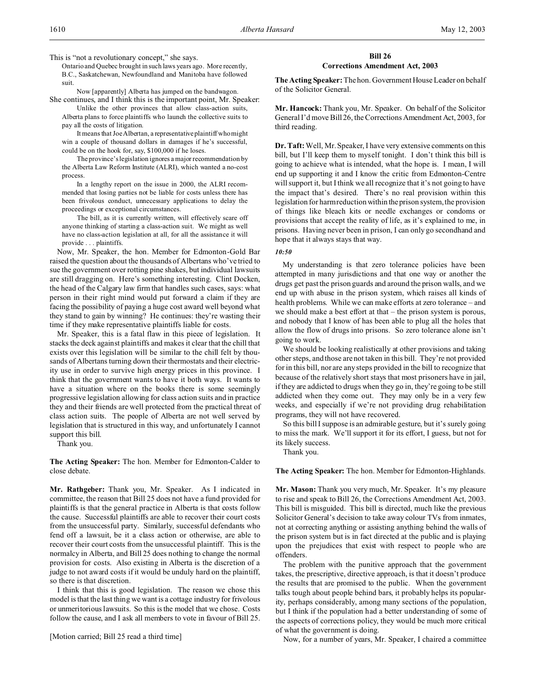This is "not a revolutionary concept," she says.

Ontario and Quebec brought in such laws years ago. More recently, B.C., Saskatchewan, Newfoundland and Manitoba have followed suit.

Now [apparently] Alberta has jumped on the bandwagon. She continues, and I think this is the important point, Mr. Speaker:

Unlike the other provinces that allow class-action suits, Alberta plans to force plaintiffs who launch the collective suits to pay all the costs of litigation.

It means that Joe Albertan, a representativeplaintiff who might win a couple of thousand dollars in damages if he's successful, could be on the hook for, say, \$100,000 if he loses.

The province's legislation ignores a major recommendation by the Alberta Law Reform Institute (ALRI), which wanted a no-cost process.

In a lengthy report on the issue in 2000, the ALRI recommended that losing parties not be liable for costs unless there has been frivolous conduct, unnecessary applications to delay the proceedings or exceptional circumstances.

The bill, as it is currently written, will effectively scare off anyone thinking of starting a class-action suit. We might as well have no class-action legislation at all, for all the assistance it will provide . . . plaintiffs.

Now, Mr. Speaker, the hon. Member for Edmonton-Gold Bar raised the question about the thousands of Albertans who've tried to sue the government over rotting pine shakes, but individual lawsuits are still dragging on. Here's something interesting. Clint Docken, the head of the Calgary law firm that handles such cases, says: what person in their right mind would put forward a claim if they are facing the possibility of paying a huge cost award well beyond what they stand to gain by winning? He continues: they're wasting their time if they make representative plaintiffs liable for costs.

Mr. Speaker, this is a fatal flaw in this piece of legislation. It stacks the deck against plaintiffs and makes it clear that the chill that exists over this legislation will be similar to the chill felt by thousands of Albertans turning down their thermostats and their electricity use in order to survive high energy prices in this province. I think that the government wants to have it both ways. It wants to have a situation where on the books there is some seemingly progressive legislation allowing for class action suits and in practice they and their friends are well protected from the practical threat of class action suits. The people of Alberta are not well served by legislation that is structured in this way, and unfortunately I cannot support this bill.

Thank you.

**The Acting Speaker:** The hon. Member for Edmonton-Calder to close debate.

**Mr. Rathgeber:** Thank you, Mr. Speaker. As I indicated in committee, the reason that Bill 25 does not have a fund provided for plaintiffs is that the general practice in Alberta is that costs follow the cause. Successful plaintiffs are able to recover their court costs from the unsuccessful party. Similarly, successful defendants who fend off a lawsuit, be it a class action or otherwise, are able to recover their court costs from the unsuccessful plaintiff. This is the normalcy in Alberta, and Bill 25 does nothing to change the normal provision for costs. Also existing in Alberta is the discretion of a judge to not award costs if it would be unduly hard on the plaintiff, so there is that discretion.

I think that this is good legislation. The reason we chose this model is that the last thing we want is a cottage industry for frivolous or unmeritorious lawsuits. So this is the model that we chose. Costs follow the cause, and I ask all members to vote in favour of Bill 25.

[Motion carried; Bill 25 read a third time]

# **Bill 26 Corrections Amendment Act, 2003**

**The Acting Speaker:** The hon. Government House Leader on behalf of the Solicitor General.

**Mr. Hancock:** Thank you, Mr. Speaker. On behalf of the Solicitor General I'd move Bill 26, the Corrections Amendment Act, 2003, for third reading.

**Dr. Taft:**Well, Mr. Speaker, I have very extensive comments on this bill, but I'll keep them to myself tonight. I don't think this bill is going to achieve what is intended, what the hope is. I mean, I will end up supporting it and I know the critic from Edmonton-Centre will support it, but I think we all recognize that it's not going to have the impact that's desired. There's no real provision within this legislation for harm reduction within theprison system, the provision of things like bleach kits or needle exchanges or condoms or provisions that accept the reality of life, as it's explained to me, in prisons. Having never been in prison, I can only go secondhand and hope that it always stays that way.

# *10:50*

My understanding is that zero tolerance policies have been attempted in many jurisdictions and that one way or another the drugs get past the prison guards and around the prison walls, and we end up with abuse in the prison system, which raises all kinds of health problems. While we can make efforts at zero tolerance – and we should make a best effort at that – the prison system is porous, and nobody that I know of has been able to plug all the holes that allow the flow of drugs into prisons. So zero tolerance alone isn't going to work.

We should be looking realistically at other provisions and taking other steps, and those are not taken in this bill. They're not provided for in this bill, nor are any steps provided in the bill to recognize that because of the relatively short stays that most prisoners have in jail, if they are addicted to drugs when they go in, they're going to be still addicted when they come out. They may only be in a very few weeks, and especially if we're not providing drug rehabilitation programs, they will not have recovered.

So this bill I suppose is an admirable gesture, but it's surely going to miss the mark. We'll support it for its effort, I guess, but not for its likely success.

Thank you.

**The Acting Speaker:** The hon. Member for Edmonton-Highlands.

**Mr. Mason:** Thank you very much, Mr. Speaker. It's my pleasure to rise and speak to Bill 26, the Corrections Amendment Act, 2003. This bill is misguided. This bill is directed, much like the previous Solicitor General's decision to take away colour TVs from inmates, not at correcting anything or assisting anything behind the walls of the prison system but is in fact directed at the public and is playing upon the prejudices that exist with respect to people who are offenders.

The problem with the punitive approach that the government takes, the prescriptive, directive approach, is that it doesn't produce the results that are promised to the public. When the government talks tough about people behind bars, it probably helps its popularity, perhaps considerably, among many sections of the population, but I think if the population had a better understanding of some of the aspects of corrections policy, they would be much more critical of what the government is doing.

Now, for a number of years, Mr. Speaker, I chaired a committee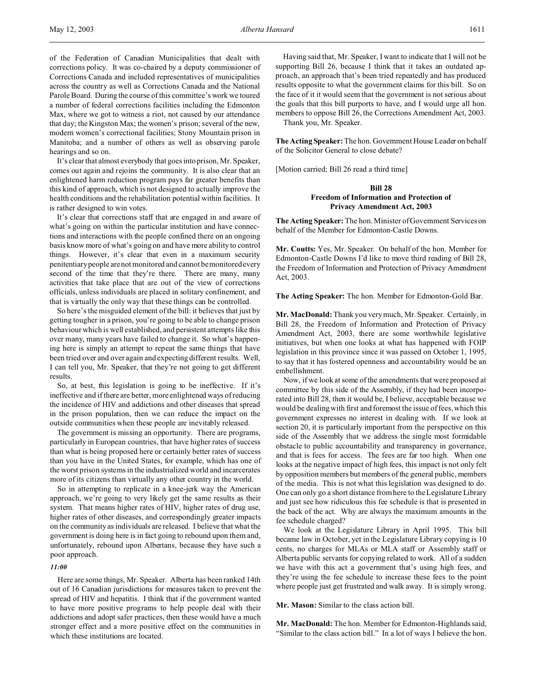of the Federation of Canadian Municipalities that dealt with corrections policy. It was co-chaired by a deputy commissioner of Corrections Canada and included representatives of municipalities across the country as well as Corrections Canada and the National Parole Board. During the course of this committee's work we toured a number of federal corrections facilities including the Edmonton Max, where we got to witness a riot, not caused by our attendance that day; the Kingston Max; the women's prison; several of the new, modern women's correctional facilities; Stony Mountain prison in Manitoba; and a number of others as well as observing parole hearings and so on.

It's clear that almost everybody that goes into prison, Mr. Speaker, comes out again and rejoins the community. It is also clear that an enlightened harm reduction program pays far greater benefits than this kind of approach, which is not designed to actually improve the health conditions and the rehabilitation potential within facilities. It is rather designed to win votes.

It's clear that corrections staff that are engaged in and aware of what's going on within the particular institution and have connections and interactions with the people confined there on an ongoing basis know more of what's going on and have more ability to control things. However, it's clear that even in a maximum security penitentiary people are not monitored and cannot be monitored every second of the time that they're there. There are many, many activities that take place that are out of the view of corrections officials, unless individuals are placed in solitary confinement, and that is virtually the only way that these things can be controlled.

So here's the misguided element of the bill: it believes that just by getting tougher in a prison, you're going to be able to change prison behaviour which is well established, and persistent attempts like this over many, many years have failed to change it. So what's happening here is simply an attempt to repeat the same things that have been tried over and over again and expecting different results. Well, I can tell you, Mr. Speaker, that they're not going to get different results.

So, at best, this legislation is going to be ineffective. If it's ineffective and if there are better, more enlightened ways of reducing the incidence of HIV and addictions and other diseases that spread in the prison population, then we can reduce the impact on the outside communities when these people are inevitably released.

The government is missing an opportunity. There are programs, particularly in European countries, that have higher rates of success than what is being proposed here or certainly better rates of success than you have in the United States, for example, which has one of the worst prison systems in the industrialized world and incarcerates more of its citizens than virtually any other country in the world.

So in attempting to replicate in a knee-jerk way the American approach, we're going to very likely get the same results as their system. That means higher rates of HIV, higher rates of drug use, higher rates of other diseases, and correspondingly greater impacts on the community as individuals are released. I believe that what the government is doing here is in fact going to rebound upon them and, unfortunately, rebound upon Albertans, because they have such a poor approach.

# *11:00*

Here are some things, Mr. Speaker. Alberta has been ranked 14th out of 16 Canadian jurisdictions for measures taken to prevent the spread of HIV and hepatitis. I think that if the government wanted to have more positive programs to help people deal with their addictions and adopt safer practices, then these would have a much stronger effect and a more positive effect on the communities in which these institutions are located.

Having said that, Mr. Speaker, I want to indicate that I will not be supporting Bill 26, because I think that it takes an outdated approach, an approach that's been tried repeatedly and has produced results opposite to what the government claims for this bill. So on the face of it it would seem that the government is not serious about the goals that this bill purports to have, and I would urge all hon. members to oppose Bill 26, the Corrections Amendment Act, 2003.

Thank you, Mr. Speaker.

**The Acting Speaker:** The hon. Government House Leader on behalf of the Solicitor General to close debate?

[Motion carried; Bill 26 read a third time]

# **Bill 28 Freedom of Information and Protection of Privacy Amendment Act, 2003**

**The Acting Speaker:** The hon. Minister of Government Services on behalf of the Member for Edmonton-Castle Downs.

**Mr. Coutts:** Yes, Mr. Speaker. On behalf of the hon. Member for Edmonton-Castle Downs I'd like to move third reading of Bill 28, the Freedom of Information and Protection of Privacy Amendment Act, 2003.

**The Acting Speaker:** The hon. Member for Edmonton-Gold Bar.

**Mr. MacDonald:** Thank you very much, Mr. Speaker. Certainly, in Bill 28, the Freedom of Information and Protection of Privacy Amendment Act, 2003, there are some worthwhile legislative initiatives, but when one looks at what has happened with FOIP legislation in this province since it was passed on October 1, 1995, to say that it has fostered openness and accountability would be an embellishment.

Now, if we look at some of the amendments that were proposed at committee by this side of the Assembly, if they had been incorporated into Bill 28, then it would be, I believe, acceptable because we would be dealing with first and foremost the issue of fees, which this government expresses no interest in dealing with. If we look at section 20, it is particularly important from the perspective on this side of the Assembly that we address the single most formidable obstacle to public accountability and transparency in governance, and that is fees for access. The fees are far too high. When one looks at the negative impact of high fees, this impact is not only felt by opposition members but members of the general public, members of the media. This is not what this legislation was designed to do. One can only go a short distance from here to the Legislature Library and just see how ridiculous this fee schedule is that is presented in the back of the act. Why are always the maximum amounts in the fee schedule charged?

We look at the Legislature Library in April 1995. This bill became law in October, yet in the Legislature Library copying is 10 cents, no charges for MLAs or MLA staff or Assembly staff or Alberta public servants for copying related to work. All of a sudden we have with this act a government that's using high fees, and they're using the fee schedule to increase these fees to the point where people just get frustrated and walk away. It is simply wrong.

**Mr. Mason:** Similar to the class action bill.

**Mr. MacDonald:** The hon. Member for Edmonton-Highlands said, "Similar to the class action bill." In a lot of ways I believe the hon.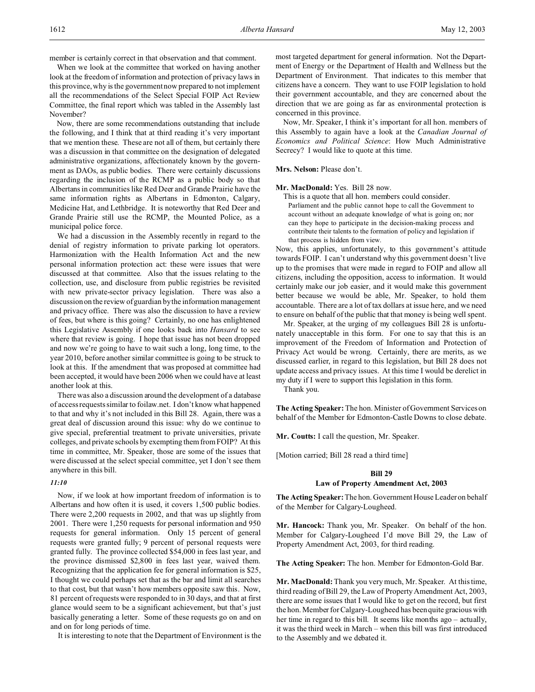member is certainly correct in that observation and that comment.

When we look at the committee that worked on having another look at the freedom of information and protection of privacy laws in this province, why is the government now prepared to not implement all the recommendations of the Select Special FOIP Act Review Committee, the final report which was tabled in the Assembly last November?

Now, there are some recommendations outstanding that include the following, and I think that at third reading it's very important that we mention these. These are not all of them, but certainly there was a discussion in that committee on the designation of delegated administrative organizations, affectionately known by the government as DAOs, as public bodies. There were certainly discussions regarding the inclusion of the RCMP as a public body so that Albertans in communities like Red Deer and Grande Prairie have the same information rights as Albertans in Edmonton, Calgary, Medicine Hat, and Lethbridge. It is noteworthy that Red Deer and Grande Prairie still use the RCMP, the Mounted Police, as a municipal police force.

We had a discussion in the Assembly recently in regard to the denial of registry information to private parking lot operators. Harmonization with the Health Information Act and the new personal information protection act: these were issues that were discussed at that committee. Also that the issues relating to the collection, use, and disclosure from public registries be revisited with new private-sector privacy legislation. There was also a discussion on the review of guardian by the information management and privacy office. There was also the discussion to have a review of fees, but where is this going? Certainly, no one has enlightened this Legislative Assembly if one looks back into *Hansard* to see where that review is going. I hope that issue has not been dropped and now we're going to have to wait such a long, long time, to the year 2010, before another similar committee is going to be struck to look at this. If the amendment that was proposed at committee had been accepted, it would have been 2006 when we could have at least another look at this.

There was also a discussion around the development of a database of access requests similar to foilaw.net. I don't know what happened to that and why it's not included in this Bill 28. Again, there was a great deal of discussion around this issue: why do we continue to give special, preferential treatment to private universities, private colleges, and private schools by exempting them from FOIP? At this time in committee, Mr. Speaker, those are some of the issues that were discussed at the select special committee, yet I don't see them anywhere in this bill.

# *11:10*

Now, if we look at how important freedom of information is to Albertans and how often it is used, it covers 1,500 public bodies. There were 2,200 requests in 2002, and that was up slightly from 2001. There were 1,250 requests for personal information and 950 requests for general information. Only 15 percent of general requests were granted fully; 9 percent of personal requests were granted fully. The province collected \$54,000 in fees last year, and the province dismissed \$2,800 in fees last year, waived them. Recognizing that the application fee for general information is \$25, I thought we could perhaps set that as the bar and limit all searches to that cost, but that wasn't how members opposite saw this. Now, 81 percent of requests were responded to in 30 days, and that at first glance would seem to be a significant achievement, but that's just basically generating a letter. Some of these requests go on and on and on for long periods of time.

It is interesting to note that the Department of Environment is the

most targeted department for general information. Not the Department of Energy or the Department of Health and Wellness but the Department of Environment. That indicates to this member that citizens have a concern. They want to use FOIP legislation to hold their government accountable, and they are concerned about the direction that we are going as far as environmental protection is concerned in this province.

Now, Mr. Speaker, I think it's important for all hon. members of this Assembly to again have a look at the *Canadian Journal of Economics and Political Science*: How Much Administrative Secrecy? I would like to quote at this time.

## **Mrs. Nelson:** Please don't.

## **Mr. MacDonald:** Yes. Bill 28 now.

This is a quote that all hon. members could consider. Parliament and the public cannot hope to call the Government to account without an adequate knowledge of what is going on; nor can they hope to participate in the decision-making process and contribute their talents to the formation of policy and legislation if that process is hidden from view.

Now, this applies, unfortunately, to this government's attitude towards FOIP. I can't understand why this government doesn't live up to the promises that were made in regard to FOIP and allow all citizens, including the opposition, access to information. It would certainly make our job easier, and it would make this government better because we would be able, Mr. Speaker, to hold them accountable. There are a lot of tax dollars at issue here, and we need to ensure on behalf of the public that that money is being well spent.

Mr. Speaker, at the urging of my colleagues Bill 28 is unfortunately unacceptable in this form. For one to say that this is an improvement of the Freedom of Information and Protection of Privacy Act would be wrong. Certainly, there are merits, as we discussed earlier, in regard to this legislation, but Bill 28 does not update access and privacy issues. At this time I would be derelict in my duty if I were to support this legislation in this form.

Thank you.

**The Acting Speaker:** The hon. Minister of Government Services on behalf of the Member for Edmonton-Castle Downs to close debate.

**Mr. Coutts:** I call the question, Mr. Speaker.

[Motion carried; Bill 28 read a third time]

## **Bill 29**

### **Law of Property Amendment Act, 2003**

**The Acting Speaker:** The hon. Government House Leader on behalf of the Member for Calgary-Lougheed.

**Mr. Hancock:** Thank you, Mr. Speaker. On behalf of the hon. Member for Calgary-Lougheed I'd move Bill 29, the Law of Property Amendment Act, 2003, for third reading.

**The Acting Speaker:** The hon. Member for Edmonton-Gold Bar.

**Mr. MacDonald:** Thank you very much, Mr. Speaker. At this time, third reading of Bill 29, the Law of Property Amendment Act, 2003, there are some issues that I would like to get on the record, but first the hon. Member for Calgary-Lougheed has been quite gracious with her time in regard to this bill. It seems like months ago – actually, it was the third week in March – when this bill was first introduced to the Assembly and we debated it.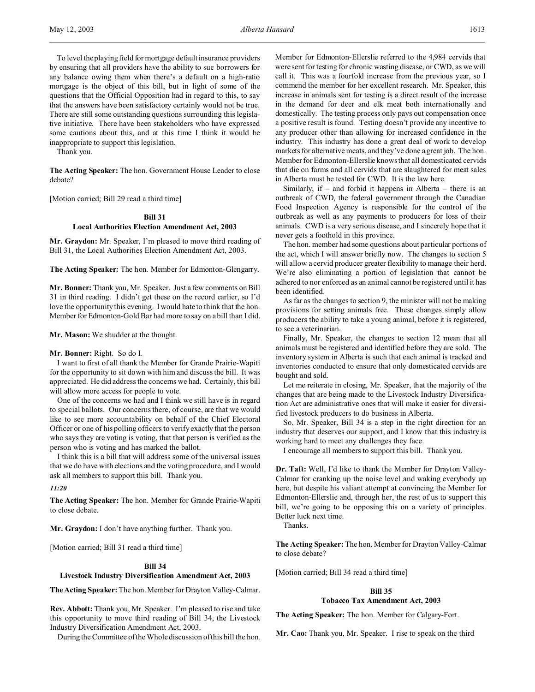To level the playing field for mortgage default insurance providers by ensuring that all providers have the ability to sue borrowers for any balance owing them when there's a default on a high-ratio mortgage is the object of this bill, but in light of some of the questions that the Official Opposition had in regard to this, to say that the answers have been satisfactory certainly would not be true. There are still some outstanding questions surrounding this legislative initiative. There have been stakeholders who have expressed some cautions about this, and at this time I think it would be inappropriate to support this legislation.

Thank you.

**The Acting Speaker:** The hon. Government House Leader to close debate?

[Motion carried; Bill 29 read a third time]

# **Bill 31 Local Authorities Election Amendment Act, 2003**

**Mr. Graydon:** Mr. Speaker, I'm pleased to move third reading of Bill 31, the Local Authorities Election Amendment Act, 2003.

**The Acting Speaker:** The hon. Member for Edmonton-Glengarry.

**Mr. Bonner:** Thank you, Mr. Speaker. Just a few comments on Bill 31 in third reading. I didn't get these on the record earlier, so I'd love the opportunity this evening. I would hate to think that the hon. Member for Edmonton-Gold Bar had more to say on a bill than I did.

**Mr. Mason:** We shudder at the thought.

## **Mr. Bonner:** Right. So do I.

I want to first of all thank the Member for Grande Prairie-Wapiti for the opportunity to sit down with him and discuss the bill. It was appreciated. He did address the concerns we had. Certainly, this bill will allow more access for people to vote.

One of the concerns we had and I think we still have is in regard to special ballots. Our concerns there, of course, are that we would like to see more accountability on behalf of the Chief Electoral Officer or one of his polling officers to verify exactly that the person who says they are voting is voting, that that person is verified as the person who is voting and has marked the ballot.

I think this is a bill that will address some of the universal issues that we do have with elections and the voting procedure, and I would ask all members to support this bill. Thank you.

*11:20*

**The Acting Speaker:** The hon. Member for Grande Prairie-Wapiti to close debate.

**Mr. Graydon:** I don't have anything further. Thank you.

[Motion carried; Bill 31 read a third time]

## **Bill 34**

# **Livestock Industry Diversification Amendment Act, 2003**

**The Acting Speaker:** The hon. Member for Drayton Valley-Calmar.

**Rev. Abbott:** Thank you, Mr. Speaker. I'm pleased to rise and take this opportunity to move third reading of Bill 34, the Livestock Industry Diversification Amendment Act, 2003.

During the Committee of the Whole discussion of this bill the hon.

Member for Edmonton-Ellerslie referred to the 4,984 cervids that were sent for testing for chronic wasting disease, or CWD, as we will call it. This was a fourfold increase from the previous year, so I commend the member for her excellent research. Mr. Speaker, this increase in animals sent for testing is a direct result of the increase in the demand for deer and elk meat both internationally and domestically. The testing process only pays out compensation once a positive result is found. Testing doesn't provide any incentive to any producer other than allowing for increased confidence in the industry. This industry has done a great deal of work to develop markets for alternative meats, and they've done a great job. The hon. Member for Edmonton-Ellerslie knows that all domesticated cervids that die on farms and all cervids that are slaughtered for meat sales in Alberta must be tested for CWD. It is the law here.

Similarly, if – and forbid it happens in Alberta – there is an outbreak of CWD, the federal government through the Canadian Food Inspection Agency is responsible for the control of the outbreak as well as any payments to producers for loss of their animals. CWD is a very serious disease, and I sincerely hope that it never gets a foothold in this province.

The hon. member had some questions about particular portions of the act, which I will answer briefly now. The changes to section 5 will allow a cervid producer greater flexibility to manage their herd. We're also eliminating a portion of legislation that cannot be adhered to nor enforced as an animal cannot be registered until it has been identified.

As far as the changes to section 9, the minister will not be making provisions for setting animals free. These changes simply allow producers the ability to take a young animal, before it is registered, to see a veterinarian.

Finally, Mr. Speaker, the changes to section 12 mean that all animals must be registered and identified before they are sold. The inventory system in Alberta is such that each animal is tracked and inventories conducted to ensure that only domesticated cervids are bought and sold.

Let me reiterate in closing, Mr. Speaker, that the majority of the changes that are being made to the Livestock Industry Diversification Act are administrative ones that will make it easier for diversified livestock producers to do business in Alberta.

So, Mr. Speaker, Bill 34 is a step in the right direction for an industry that deserves our support, and I know that this industry is working hard to meet any challenges they face.

I encourage all members to support this bill. Thank you.

**Dr. Taft:** Well, I'd like to thank the Member for Drayton Valley-Calmar for cranking up the noise level and waking everybody up here, but despite his valiant attempt at convincing the Member for Edmonton-Ellerslie and, through her, the rest of us to support this bill, we're going to be opposing this on a variety of principles. Better luck next time.

Thanks.

**The Acting Speaker:** The hon. Member for Drayton Valley-Calmar to close debate?

[Motion carried; Bill 34 read a third time]

# **Bill 35 Tobacco Tax Amendment Act, 2003**

**The Acting Speaker:** The hon. Member for Calgary-Fort.

**Mr. Cao:** Thank you, Mr. Speaker. I rise to speak on the third